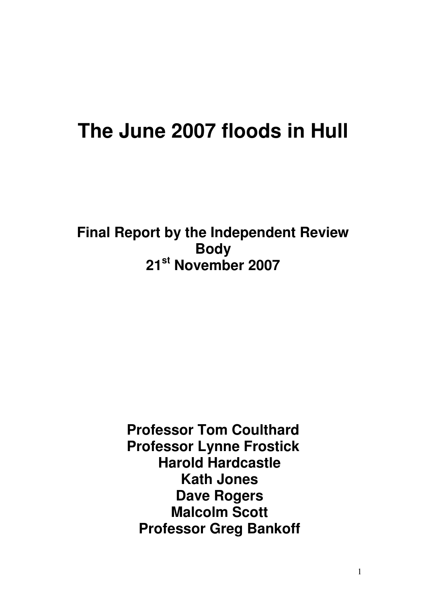# **The June 2007 floods in Hull**

**Final Report by the Independent Review Body 21st November 2007** 

> **Professor Tom Coulthard Professor Lynne Frostick Harold Hardcastle Kath Jones Dave Rogers Malcolm Scott Professor Greg Bankoff**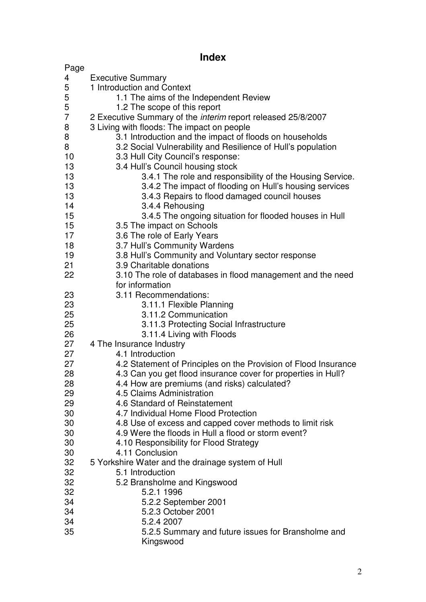# **Index**

| Page           |                                                                     |  |  |  |  |  |
|----------------|---------------------------------------------------------------------|--|--|--|--|--|
| 4              | <b>Executive Summary</b>                                            |  |  |  |  |  |
| 5              | 1 Introduction and Context                                          |  |  |  |  |  |
| 5              | 1.1 The aims of the Independent Review                              |  |  |  |  |  |
| 5              | 1.2 The scope of this report                                        |  |  |  |  |  |
| $\overline{7}$ | 2 Executive Summary of the <i>interim</i> report released 25/8/2007 |  |  |  |  |  |
| 8              | 3 Living with floods: The impact on people                          |  |  |  |  |  |
| 8              | 3.1 Introduction and the impact of floods on households             |  |  |  |  |  |
| 8              | 3.2 Social Vulnerability and Resilience of Hull's population        |  |  |  |  |  |
| 10             | 3.3 Hull City Council's response:                                   |  |  |  |  |  |
| 13             | 3.4 Hull's Council housing stock                                    |  |  |  |  |  |
| 13             | 3.4.1 The role and responsibility of the Housing Service.           |  |  |  |  |  |
| 13             | 3.4.2 The impact of flooding on Hull's housing services             |  |  |  |  |  |
| 13             | 3.4.3 Repairs to flood damaged council houses                       |  |  |  |  |  |
| 14             | 3.4.4 Rehousing                                                     |  |  |  |  |  |
| 15             | 3.4.5 The ongoing situation for flooded houses in Hull              |  |  |  |  |  |
| 15             | 3.5 The impact on Schools                                           |  |  |  |  |  |
| 17             | 3.6 The role of Early Years                                         |  |  |  |  |  |
| 18             | 3.7 Hull's Community Wardens                                        |  |  |  |  |  |
| 19             | 3.8 Hull's Community and Voluntary sector response                  |  |  |  |  |  |
| 21             | 3.9 Charitable donations                                            |  |  |  |  |  |
| 22             | 3.10 The role of databases in flood management and the need         |  |  |  |  |  |
|                | for information                                                     |  |  |  |  |  |
| 23             | 3.11 Recommendations:                                               |  |  |  |  |  |
| 23             | 3.11.1 Flexible Planning                                            |  |  |  |  |  |
| 25             | 3.11.2 Communication                                                |  |  |  |  |  |
| 25             | 3.11.3 Protecting Social Infrastructure                             |  |  |  |  |  |
| 26             | 3.11.4 Living with Floods                                           |  |  |  |  |  |
| 27             | 4 The Insurance Industry                                            |  |  |  |  |  |
| 27             | 4.1 Introduction                                                    |  |  |  |  |  |
| 27             | 4.2 Statement of Principles on the Provision of Flood Insurance     |  |  |  |  |  |
| 28             | 4.3 Can you get flood insurance cover for properties in Hull?       |  |  |  |  |  |
| 28             | 4.4 How are premiums (and risks) calculated?                        |  |  |  |  |  |
| 29             | 4.5 Claims Administration<br>4.6 Standard of Reinstatement          |  |  |  |  |  |
| 29<br>30       | 4.7 Individual Home Flood Protection                                |  |  |  |  |  |
| 30             | 4.8 Use of excess and capped cover methods to limit risk            |  |  |  |  |  |
| 30             | 4.9 Were the floods in Hull a flood or storm event?                 |  |  |  |  |  |
| 30             | 4.10 Responsibility for Flood Strategy                              |  |  |  |  |  |
| 30             | 4.11 Conclusion                                                     |  |  |  |  |  |
| 32             | 5 Yorkshire Water and the drainage system of Hull                   |  |  |  |  |  |
| 32             | 5.1 Introduction                                                    |  |  |  |  |  |
| 32             | 5.2 Bransholme and Kingswood                                        |  |  |  |  |  |
| 32             | 5.2.1 1996                                                          |  |  |  |  |  |
| 34             | 5.2.2 September 2001                                                |  |  |  |  |  |
| 34             | 5.2.3 October 2001                                                  |  |  |  |  |  |
| 34             | 5.2.4 2007                                                          |  |  |  |  |  |
| 35             | 5.2.5 Summary and future issues for Bransholme and                  |  |  |  |  |  |
|                | Kingswood                                                           |  |  |  |  |  |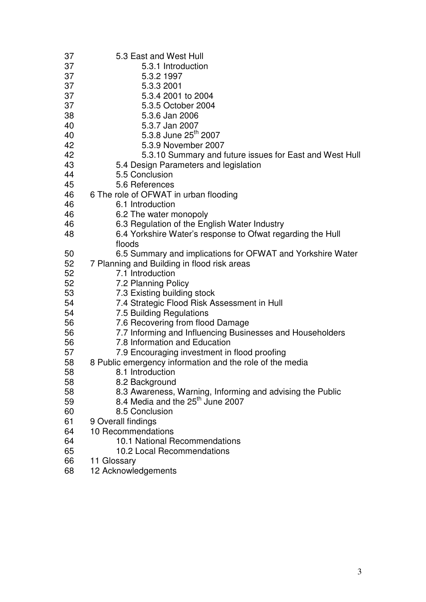| 37 | 5.3 East and West Hull                                     |
|----|------------------------------------------------------------|
| 37 | 5.3.1 Introduction                                         |
| 37 | 5.3.2 1997                                                 |
| 37 | 5.3.3 2001                                                 |
| 37 | 5.3.4 2001 to 2004                                         |
| 37 | 5.3.5 October 2004                                         |
| 38 | 5.3.6 Jan 2006                                             |
| 40 | 5.3.7 Jan 2007                                             |
| 40 | 5.3.8 June 25 <sup>th</sup> 2007                           |
| 42 | 5.3.9 November 2007                                        |
| 42 | 5.3.10 Summary and future issues for East and West Hull    |
| 43 | 5.4 Design Parameters and legislation                      |
| 44 | 5.5 Conclusion                                             |
| 45 | 5.6 References                                             |
| 46 | 6 The role of OFWAT in urban flooding                      |
| 46 | 6.1 Introduction                                           |
| 46 | 6.2 The water monopoly                                     |
| 46 | 6.3 Regulation of the English Water Industry               |
| 48 | 6.4 Yorkshire Water's response to Ofwat regarding the Hull |
|    | floods                                                     |
| 50 | 6.5 Summary and implications for OFWAT and Yorkshire Water |
| 52 | 7 Planning and Building in flood risk areas                |
| 52 | 7.1 Introduction                                           |
| 52 | 7.2 Planning Policy                                        |
| 53 | 7.3 Existing building stock                                |
| 54 | 7.4 Strategic Flood Risk Assessment in Hull                |
| 54 | 7.5 Building Regulations                                   |
| 56 | 7.6 Recovering from flood Damage                           |
| 56 | 7.7 Informing and Influencing Businesses and Householders  |
| 56 | 7.8 Information and Education                              |
| 57 | 7.9 Encouraging investment in flood proofing               |
| 58 | 8 Public emergency information and the role of the media   |
| 58 | 8.1 Introduction                                           |
| 58 | 8.2 Background                                             |
| 58 | 8.3 Awareness, Warning, Informing and advising the Public  |
| 59 | 8.4 Media and the 25 <sup>th</sup> June 2007               |
| 60 | 8.5 Conclusion                                             |
| 61 | 9 Overall findings                                         |
| 64 | 10 Recommendations                                         |
| 64 | 10.1 National Recommendations                              |
| 65 | 10.2 Local Recommendations                                 |
| 66 | 11 Glossary                                                |

68 12 Acknowledgements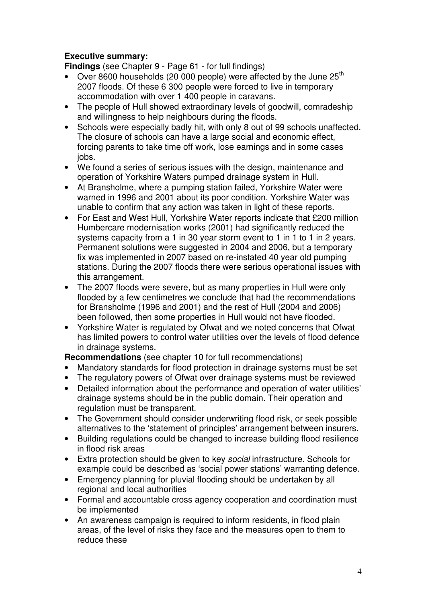# **Executive summary:**

**Findings** (see Chapter 9 - Page 61 - for full findings)

- Over 8600 households (20 000 people) were affected by the June  $25<sup>th</sup>$ 2007 floods. Of these 6 300 people were forced to live in temporary accommodation with over 1 400 people in caravans.
- The people of Hull showed extraordinary levels of goodwill, comradeship and willingness to help neighbours during the floods.
- Schools were especially badly hit, with only 8 out of 99 schools unaffected. The closure of schools can have a large social and economic effect, forcing parents to take time off work, lose earnings and in some cases jobs.
- We found a series of serious issues with the design, maintenance and operation of Yorkshire Waters pumped drainage system in Hull.
- At Bransholme, where a pumping station failed, Yorkshire Water were warned in 1996 and 2001 about its poor condition. Yorkshire Water was unable to confirm that any action was taken in light of these reports.
- For East and West Hull, Yorkshire Water reports indicate that £200 million Humbercare modernisation works (2001) had significantly reduced the systems capacity from a 1 in 30 year storm event to 1 in 1 to 1 in 2 years. Permanent solutions were suggested in 2004 and 2006, but a temporary fix was implemented in 2007 based on re-instated 40 year old pumping stations. During the 2007 floods there were serious operational issues with this arrangement.
- The 2007 floods were severe, but as many properties in Hull were only flooded by a few centimetres we conclude that had the recommendations for Bransholme (1996 and 2001) and the rest of Hull (2004 and 2006) been followed, then some properties in Hull would not have flooded.
- Yorkshire Water is regulated by Ofwat and we noted concerns that Ofwat has limited powers to control water utilities over the levels of flood defence in drainage systems.

**Recommendations** (see chapter 10 for full recommendations)

- Mandatory standards for flood protection in drainage systems must be set
- The regulatory powers of Ofwat over drainage systems must be reviewed
- Detailed information about the performance and operation of water utilities' drainage systems should be in the public domain. Their operation and regulation must be transparent.
- The Government should consider underwriting flood risk, or seek possible alternatives to the 'statement of principles' arrangement between insurers.
- Building regulations could be changed to increase building flood resilience in flood risk areas
- Extra protection should be given to key *social* infrastructure. Schools for example could be described as 'social power stations' warranting defence.
- Emergency planning for pluvial flooding should be undertaken by all regional and local authorities
- Formal and accountable cross agency cooperation and coordination must be implemented
- An awareness campaign is required to inform residents, in flood plain areas, of the level of risks they face and the measures open to them to reduce these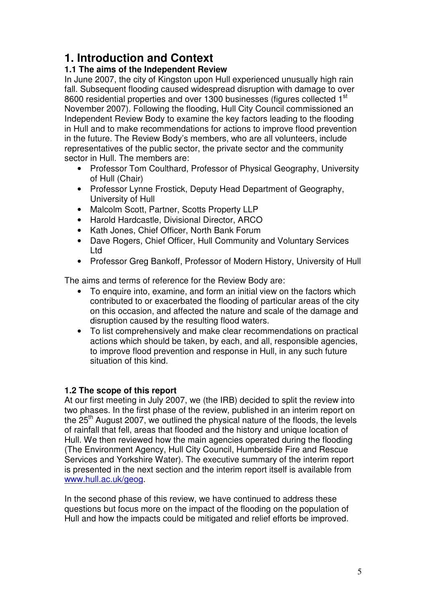# **1. Introduction and Context**

# **1.1 The aims of the Independent Review**

In June 2007, the city of Kingston upon Hull experienced unusually high rain fall. Subsequent flooding caused widespread disruption with damage to over 8600 residential properties and over 1300 businesses (figures collected 1<sup>st</sup>) November 2007). Following the flooding, Hull City Council commissioned an Independent Review Body to examine the key factors leading to the flooding in Hull and to make recommendations for actions to improve flood prevention in the future. The Review Body's members, who are all volunteers, include representatives of the public sector, the private sector and the community sector in Hull. The members are:

- Professor Tom Coulthard, Professor of Physical Geography, University of Hull (Chair)
- Professor Lynne Frostick, Deputy Head Department of Geography, University of Hull
- Malcolm Scott, Partner, Scotts Property LLP
- Harold Hardcastle, Divisional Director, ARCO
- Kath Jones, Chief Officer, North Bank Forum
- Dave Rogers, Chief Officer, Hull Community and Voluntary Services Ltd
- Professor Greg Bankoff, Professor of Modern History, University of Hull

The aims and terms of reference for the Review Body are:

- To enquire into, examine, and form an initial view on the factors which contributed to or exacerbated the flooding of particular areas of the city on this occasion, and affected the nature and scale of the damage and disruption caused by the resulting flood waters.
- To list comprehensively and make clear recommendations on practical actions which should be taken, by each, and all, responsible agencies, to improve flood prevention and response in Hull, in any such future situation of this kind.

# **1.2 The scope of this report**

At our first meeting in July 2007, we (the IRB) decided to split the review into two phases. In the first phase of the review, published in an interim report on the  $25<sup>th</sup>$  August 2007, we outlined the physical nature of the floods, the levels of rainfall that fell, areas that flooded and the history and unique location of Hull. We then reviewed how the main agencies operated during the flooding (The Environment Agency, Hull City Council, Humberside Fire and Rescue Services and Yorkshire Water). The executive summary of the interim report is presented in the next section and the interim report itself is available from www.hull.ac.uk/geog.

In the second phase of this review, we have continued to address these questions but focus more on the impact of the flooding on the population of Hull and how the impacts could be mitigated and relief efforts be improved.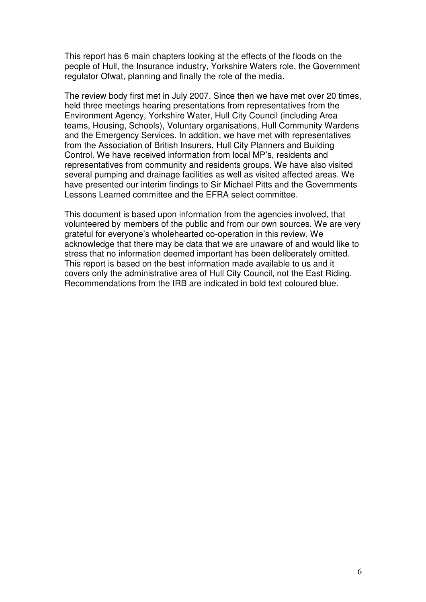This report has 6 main chapters looking at the effects of the floods on the people of Hull, the Insurance industry, Yorkshire Waters role, the Government regulator Ofwat, planning and finally the role of the media.

The review body first met in July 2007. Since then we have met over 20 times, held three meetings hearing presentations from representatives from the Environment Agency, Yorkshire Water, Hull City Council (including Area teams, Housing, Schools), Voluntary organisations, Hull Community Wardens and the Emergency Services. In addition, we have met with representatives from the Association of British Insurers, Hull City Planners and Building Control. We have received information from local MP's, residents and representatives from community and residents groups. We have also visited several pumping and drainage facilities as well as visited affected areas. We have presented our interim findings to Sir Michael Pitts and the Governments Lessons Learned committee and the EFRA select committee.

This document is based upon information from the agencies involved, that volunteered by members of the public and from our own sources. We are very grateful for everyone's wholehearted co-operation in this review. We acknowledge that there may be data that we are unaware of and would like to stress that no information deemed important has been deliberately omitted. This report is based on the best information made available to us and it covers only the administrative area of Hull City Council, not the East Riding. Recommendations from the IRB are indicated in bold text coloured blue.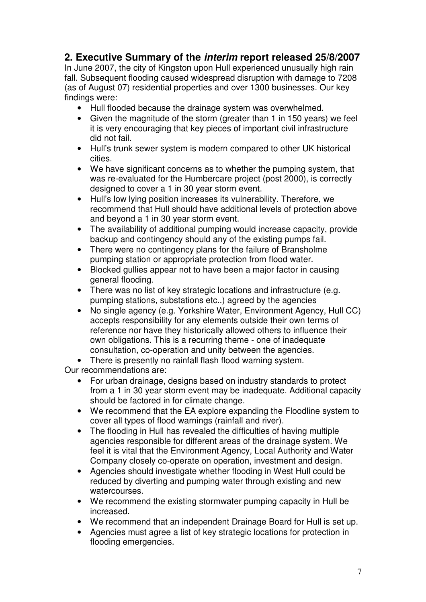# **2. Executive Summary of the interim report released 25/8/2007**

In June 2007, the city of Kingston upon Hull experienced unusually high rain fall. Subsequent flooding caused widespread disruption with damage to 7208 (as of August 07) residential properties and over 1300 businesses. Our key findings were:

- Hull flooded because the drainage system was overwhelmed.
- Given the magnitude of the storm (greater than 1 in 150 years) we feel it is very encouraging that key pieces of important civil infrastructure did not fail.
- Hull's trunk sewer system is modern compared to other UK historical cities.
- We have significant concerns as to whether the pumping system, that was re-evaluated for the Humbercare project (post 2000), is correctly designed to cover a 1 in 30 year storm event.
- Hull's low lying position increases its vulnerability. Therefore, we recommend that Hull should have additional levels of protection above and beyond a 1 in 30 year storm event.
- The availability of additional pumping would increase capacity, provide backup and contingency should any of the existing pumps fail.
- There were no contingency plans for the failure of Bransholme pumping station or appropriate protection from flood water.
- Blocked gullies appear not to have been a major factor in causing general flooding.
- There was no list of key strategic locations and infrastructure (e.g. pumping stations, substations etc..) agreed by the agencies
- No single agency (e.g. Yorkshire Water, Environment Agency, Hull CC) accepts responsibility for any elements outside their own terms of reference nor have they historically allowed others to influence their own obligations. This is a recurring theme - one of inadequate consultation, co-operation and unity between the agencies.

• There is presently no rainfall flash flood warning system.

Our recommendations are:

- For urban drainage, designs based on industry standards to protect from a 1 in 30 year storm event may be inadequate. Additional capacity should be factored in for climate change.
- We recommend that the EA explore expanding the Floodline system to cover all types of flood warnings (rainfall and river).
- The flooding in Hull has revealed the difficulties of having multiple agencies responsible for different areas of the drainage system. We feel it is vital that the Environment Agency, Local Authority and Water Company closely co-operate on operation, investment and design.
- Agencies should investigate whether flooding in West Hull could be reduced by diverting and pumping water through existing and new watercourses.
- We recommend the existing stormwater pumping capacity in Hull be increased.
- We recommend that an independent Drainage Board for Hull is set up.
- Agencies must agree a list of key strategic locations for protection in flooding emergencies.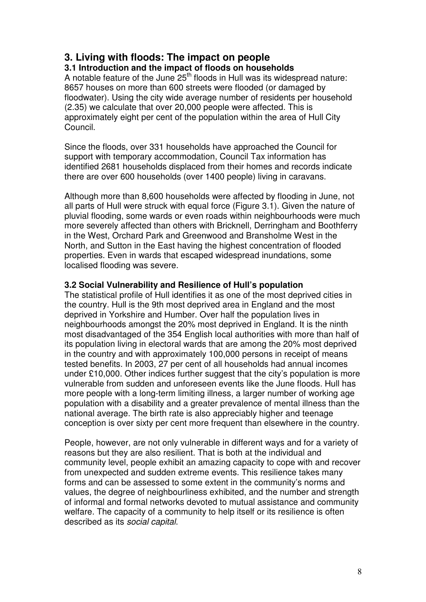# **3. Living with floods: The impact on people**

# **3.1 Introduction and the impact of floods on households**

A notable feature of the June  $25<sup>th</sup>$  floods in Hull was its widespread nature: 8657 houses on more than 600 streets were flooded (or damaged by floodwater). Using the city wide average number of residents per household (2.35) we calculate that over 20,000 people were affected. This is approximately eight per cent of the population within the area of Hull City Council.

Since the floods, over 331 households have approached the Council for support with temporary accommodation, Council Tax information has identified 2681 households displaced from their homes and records indicate there are over 600 households (over 1400 people) living in caravans.

Although more than 8,600 households were affected by flooding in June, not all parts of Hull were struck with equal force (Figure 3.1). Given the nature of pluvial flooding, some wards or even roads within neighbourhoods were much more severely affected than others with Bricknell, Derringham and Boothferry in the West, Orchard Park and Greenwood and Bransholme West in the North, and Sutton in the East having the highest concentration of flooded properties. Even in wards that escaped widespread inundations, some localised flooding was severe.

### **3.2 Social Vulnerability and Resilience of Hull's population**

The statistical profile of Hull identifies it as one of the most deprived cities in the country. Hull is the 9th most deprived area in England and the most deprived in Yorkshire and Humber. Over half the population lives in neighbourhoods amongst the 20% most deprived in England. It is the ninth most disadvantaged of the 354 English local authorities with more than half of its population living in electoral wards that are among the 20% most deprived in the country and with approximately 100,000 persons in receipt of means tested benefits. In 2003, 27 per cent of all households had annual incomes under £10,000. Other indices further suggest that the city's population is more vulnerable from sudden and unforeseen events like the June floods. Hull has more people with a long-term limiting illness, a larger number of working age population with a disability and a greater prevalence of mental illness than the national average. The birth rate is also appreciably higher and teenage conception is over sixty per cent more frequent than elsewhere in the country.

People, however, are not only vulnerable in different ways and for a variety of reasons but they are also resilient. That is both at the individual and community level, people exhibit an amazing capacity to cope with and recover from unexpected and sudden extreme events. This resilience takes many forms and can be assessed to some extent in the community's norms and values, the degree of neighbourliness exhibited, and the number and strength of informal and formal networks devoted to mutual assistance and community welfare. The capacity of a community to help itself or its resilience is often described as its social capital.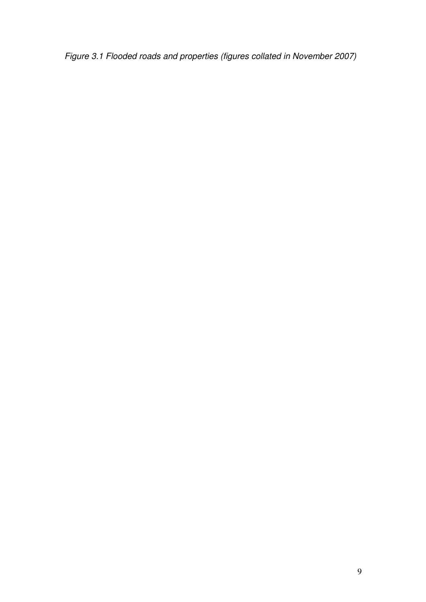Figure 3.1 Flooded roads and properties (figures collated in November 2007)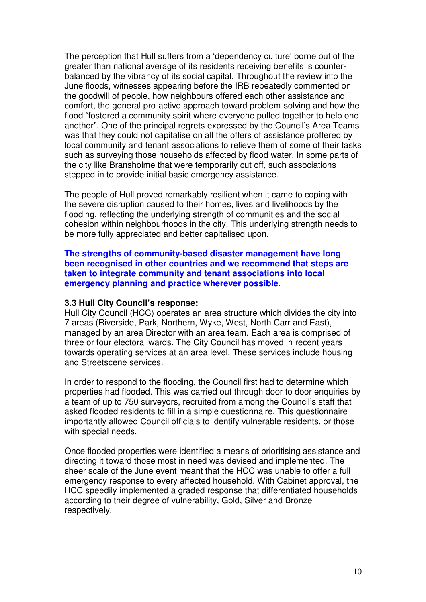The perception that Hull suffers from a 'dependency culture' borne out of the greater than national average of its residents receiving benefits is counterbalanced by the vibrancy of its social capital. Throughout the review into the June floods, witnesses appearing before the IRB repeatedly commented on the goodwill of people, how neighbours offered each other assistance and comfort, the general pro-active approach toward problem-solving and how the flood "fostered a community spirit where everyone pulled together to help one another". One of the principal regrets expressed by the Council's Area Teams was that they could not capitalise on all the offers of assistance proffered by local community and tenant associations to relieve them of some of their tasks such as surveying those households affected by flood water. In some parts of the city like Bransholme that were temporarily cut off, such associations stepped in to provide initial basic emergency assistance.

The people of Hull proved remarkably resilient when it came to coping with the severe disruption caused to their homes, lives and livelihoods by the flooding, reflecting the underlying strength of communities and the social cohesion within neighbourhoods in the city. This underlying strength needs to be more fully appreciated and better capitalised upon.

**The strengths of community-based disaster management have long been recognised in other countries and we recommend that steps are taken to integrate community and tenant associations into local emergency planning and practice wherever possible**.

#### **3.3 Hull City Council's response:**

Hull City Council (HCC) operates an area structure which divides the city into 7 areas (Riverside, Park, Northern, Wyke, West, North Carr and East), managed by an area Director with an area team. Each area is comprised of three or four electoral wards. The City Council has moved in recent years towards operating services at an area level. These services include housing and Streetscene services.

In order to respond to the flooding, the Council first had to determine which properties had flooded. This was carried out through door to door enquiries by a team of up to 750 surveyors, recruited from among the Council's staff that asked flooded residents to fill in a simple questionnaire. This questionnaire importantly allowed Council officials to identify vulnerable residents, or those with special needs.

Once flooded properties were identified a means of prioritising assistance and directing it toward those most in need was devised and implemented. The sheer scale of the June event meant that the HCC was unable to offer a full emergency response to every affected household. With Cabinet approval, the HCC speedily implemented a graded response that differentiated households according to their degree of vulnerability, Gold, Silver and Bronze respectively.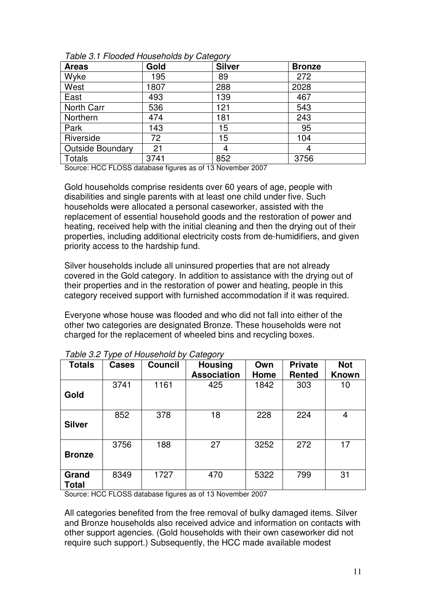| <b>Areas</b>            | Gold | <b>Silver</b> | <b>Bronze</b> |
|-------------------------|------|---------------|---------------|
| Wyke                    | 195  | 89            | 272           |
| West                    | 1807 | 288           | 2028          |
| East                    | 493  | 139           | 467           |
| North Carr              | 536  | 121           | 543           |
| Northern                | 474  | 181           | 243           |
| Park                    | 143  | 15            | 95            |
| Riverside               | 72   | 15            | 104           |
| <b>Outside Boundary</b> | 21   | 4             | 4             |
| Totals                  | 3741 | 852           | 3756          |

Table 3.1 Flooded Households by Category

Source: HCC FLOSS database figures as of 13 November 2007

Gold households comprise residents over 60 years of age, people with disabilities and single parents with at least one child under five. Such households were allocated a personal caseworker, assisted with the replacement of essential household goods and the restoration of power and heating, received help with the initial cleaning and then the drying out of their properties, including additional electricity costs from de-humidifiers, and given priority access to the hardship fund.

Silver households include all uninsured properties that are not already covered in the Gold category. In addition to assistance with the drying out of their properties and in the restoration of power and heating, people in this category received support with furnished accommodation if it was required.

Everyone whose house was flooded and who did not fall into either of the other two categories are designated Bronze. These households were not charged for the replacement of wheeled bins and recycling boxes.

| <b>Totals</b>         | <b>Cases</b> | <b>Council</b> | <b>Housing</b><br><b>Association</b> | Own<br>Home | <b>Private</b><br><b>Rented</b> | <b>Not</b><br><b>Known</b> |
|-----------------------|--------------|----------------|--------------------------------------|-------------|---------------------------------|----------------------------|
| Gold                  | 3741         | 1161           | 425                                  | 1842        | 303                             | 10                         |
| <b>Silver</b>         | 852          | 378            | 18                                   | 228         | 224                             | 4                          |
| <b>Bronze</b>         | 3756         | 188            | 27                                   | 3252        | 272                             | 17                         |
| Grand<br><b>Total</b> | 8349         | 1727           | 470                                  | 5322        | 799                             | 31                         |

Table 3.2 Type of Household by Category

Source: HCC FLOSS database figures as of 13 November 2007

All categories benefited from the free removal of bulky damaged items. Silver and Bronze households also received advice and information on contacts with other support agencies. (Gold households with their own caseworker did not require such support.) Subsequently, the HCC made available modest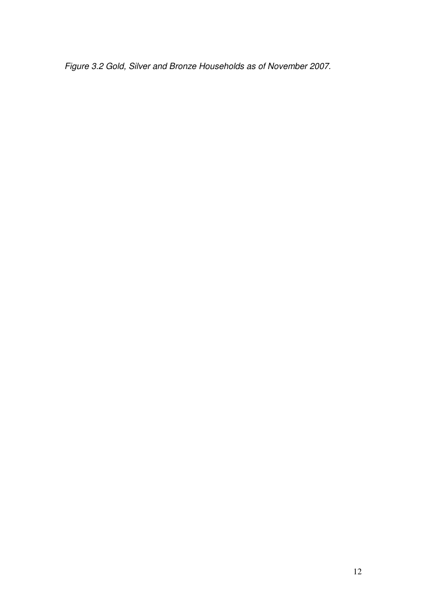Figure 3.2 Gold, Silver and Bronze Households as of November 2007.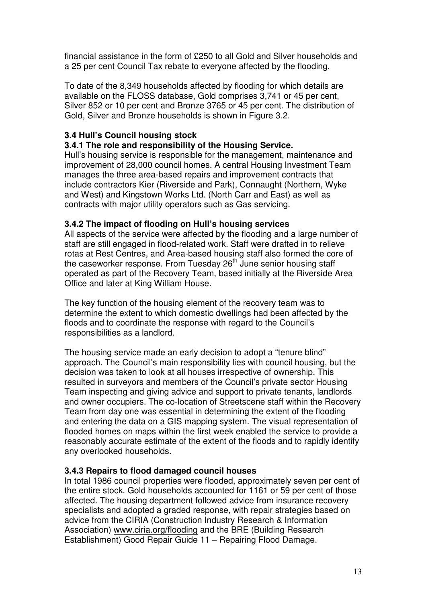financial assistance in the form of £250 to all Gold and Silver households and a 25 per cent Council Tax rebate to everyone affected by the flooding.

To date of the 8,349 households affected by flooding for which details are available on the FLOSS database, Gold comprises 3,741 or 45 per cent, Silver 852 or 10 per cent and Bronze 3765 or 45 per cent. The distribution of Gold, Silver and Bronze households is shown in Figure 3.2.

# **3.4 Hull's Council housing stock**

# **3.4.1 The role and responsibility of the Housing Service.**

Hull's housing service is responsible for the management, maintenance and improvement of 28,000 council homes. A central Housing Investment Team manages the three area-based repairs and improvement contracts that include contractors Kier (Riverside and Park), Connaught (Northern, Wyke and West) and Kingstown Works Ltd. (North Carr and East) as well as contracts with major utility operators such as Gas servicing.

# **3.4.2 The impact of flooding on Hull's housing services**

All aspects of the service were affected by the flooding and a large number of staff are still engaged in flood-related work. Staff were drafted in to relieve rotas at Rest Centres, and Area-based housing staff also formed the core of the caseworker response. From Tuesday 26<sup>th</sup> June senior housing staff operated as part of the Recovery Team, based initially at the Riverside Area Office and later at King William House.

The key function of the housing element of the recovery team was to determine the extent to which domestic dwellings had been affected by the floods and to coordinate the response with regard to the Council's responsibilities as a landlord.

The housing service made an early decision to adopt a "tenure blind" approach. The Council's main responsibility lies with council housing, but the decision was taken to look at all houses irrespective of ownership. This resulted in surveyors and members of the Council's private sector Housing Team inspecting and giving advice and support to private tenants, landlords and owner occupiers. The co-location of Streetscene staff within the Recovery Team from day one was essential in determining the extent of the flooding and entering the data on a GIS mapping system. The visual representation of flooded homes on maps within the first week enabled the service to provide a reasonably accurate estimate of the extent of the floods and to rapidly identify any overlooked households.

# **3.4.3 Repairs to flood damaged council houses**

In total 1986 council properties were flooded, approximately seven per cent of the entire stock. Gold households accounted for 1161 or 59 per cent of those affected. The housing department followed advice from insurance recovery specialists and adopted a graded response, with repair strategies based on advice from the CIRIA (Construction Industry Research & Information Association) www.ciria.org/flooding and the BRE (Building Research Establishment) Good Repair Guide 11 – Repairing Flood Damage.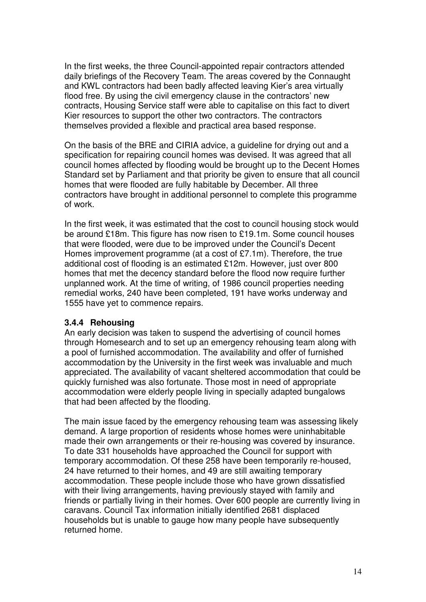In the first weeks, the three Council-appointed repair contractors attended daily briefings of the Recovery Team. The areas covered by the Connaught and KWL contractors had been badly affected leaving Kier's area virtually flood free. By using the civil emergency clause in the contractors' new contracts, Housing Service staff were able to capitalise on this fact to divert Kier resources to support the other two contractors. The contractors themselves provided a flexible and practical area based response.

On the basis of the BRE and CIRIA advice, a guideline for drying out and a specification for repairing council homes was devised. It was agreed that all council homes affected by flooding would be brought up to the Decent Homes Standard set by Parliament and that priority be given to ensure that all council homes that were flooded are fully habitable by December. All three contractors have brought in additional personnel to complete this programme of work.

In the first week, it was estimated that the cost to council housing stock would be around £18m. This figure has now risen to £19.1m. Some council houses that were flooded, were due to be improved under the Council's Decent Homes improvement programme (at a cost of £7.1m). Therefore, the true additional cost of flooding is an estimated £12m. However, just over 800 homes that met the decency standard before the flood now require further unplanned work. At the time of writing, of 1986 council properties needing remedial works, 240 have been completed, 191 have works underway and 1555 have yet to commence repairs.

### **3.4.4 Rehousing**

An early decision was taken to suspend the advertising of council homes through Homesearch and to set up an emergency rehousing team along with a pool of furnished accommodation. The availability and offer of furnished accommodation by the University in the first week was invaluable and much appreciated. The availability of vacant sheltered accommodation that could be quickly furnished was also fortunate. Those most in need of appropriate accommodation were elderly people living in specially adapted bungalows that had been affected by the flooding.

The main issue faced by the emergency rehousing team was assessing likely demand. A large proportion of residents whose homes were uninhabitable made their own arrangements or their re-housing was covered by insurance. To date 331 households have approached the Council for support with temporary accommodation. Of these 258 have been temporarily re-housed, 24 have returned to their homes, and 49 are still awaiting temporary accommodation. These people include those who have grown dissatisfied with their living arrangements, having previously stayed with family and friends or partially living in their homes. Over 600 people are currently living in caravans. Council Tax information initially identified 2681 displaced households but is unable to gauge how many people have subsequently returned home.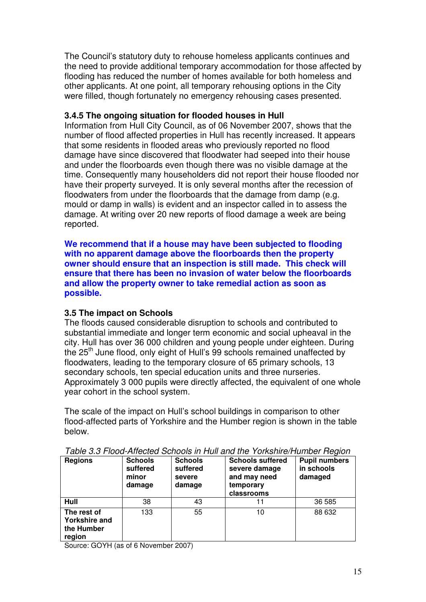The Council's statutory duty to rehouse homeless applicants continues and the need to provide additional temporary accommodation for those affected by flooding has reduced the number of homes available for both homeless and other applicants. At one point, all temporary rehousing options in the City were filled, though fortunately no emergency rehousing cases presented.

### **3.4.5 The ongoing situation for flooded houses in Hull**

Information from Hull City Council, as of 06 November 2007, shows that the number of flood affected properties in Hull has recently increased. It appears that some residents in flooded areas who previously reported no flood damage have since discovered that floodwater had seeped into their house and under the floorboards even though there was no visible damage at the time. Consequently many householders did not report their house flooded nor have their property surveyed. It is only several months after the recession of floodwaters from under the floorboards that the damage from damp (e.g. mould or damp in walls) is evident and an inspector called in to assess the damage. At writing over 20 new reports of flood damage a week are being reported.

**We recommend that if a house may have been subjected to flooding with no apparent damage above the floorboards then the property owner should ensure that an inspection is still made. This check will ensure that there has been no invasion of water below the floorboards and allow the property owner to take remedial action as soon as possible.** 

# **3.5 The impact on Schools**

The floods caused considerable disruption to schools and contributed to substantial immediate and longer term economic and social upheaval in the city. Hull has over 36 000 children and young people under eighteen. During the 25<sup>th</sup> June flood, only eight of Hull's 99 schools remained unaffected by floodwaters, leading to the temporary closure of 65 primary schools, 13 secondary schools, ten special education units and three nurseries. Approximately 3 000 pupils were directly affected, the equivalent of one whole year cohort in the school system.

The scale of the impact on Hull's school buildings in comparison to other flood-affected parts of Yorkshire and the Humber region is shown in the table below.

| <b>Regions</b>                                              | <b>Schools</b><br>suffered<br>minor<br>damage | <b>Schools</b><br>suffered<br>severe<br>damage | <b>Schools suffered</b><br>severe damage<br>and may need<br>temporary<br>classrooms | <b>Pupil numbers</b><br>in schools<br>damaged |
|-------------------------------------------------------------|-----------------------------------------------|------------------------------------------------|-------------------------------------------------------------------------------------|-----------------------------------------------|
| Hull                                                        | 38                                            | 43                                             | 11                                                                                  | 36 585                                        |
| The rest of<br><b>Yorkshire and</b><br>the Humber<br>region | 133                                           | 55                                             | 10                                                                                  | 88 632                                        |

Table 3.3 Flood-Affected Schools in Hull and the Yorkshire/Humber Region

Source: GOYH (as of 6 November 2007)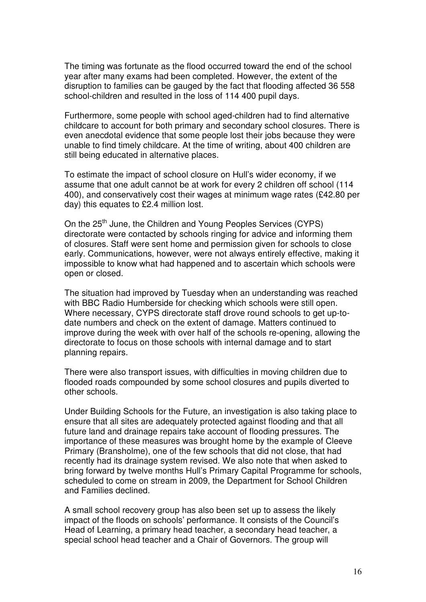The timing was fortunate as the flood occurred toward the end of the school year after many exams had been completed. However, the extent of the disruption to families can be gauged by the fact that flooding affected 36 558 school-children and resulted in the loss of 114 400 pupil days.

Furthermore, some people with school aged-children had to find alternative childcare to account for both primary and secondary school closures. There is even anecdotal evidence that some people lost their jobs because they were unable to find timely childcare. At the time of writing, about 400 children are still being educated in alternative places.

To estimate the impact of school closure on Hull's wider economy, if we assume that one adult cannot be at work for every 2 children off school (114 400), and conservatively cost their wages at minimum wage rates (£42.80 per day) this equates to £2.4 million lost.

On the 25<sup>th</sup> June, the Children and Young Peoples Services (CYPS) directorate were contacted by schools ringing for advice and informing them of closures. Staff were sent home and permission given for schools to close early. Communications, however, were not always entirely effective, making it impossible to know what had happened and to ascertain which schools were open or closed.

The situation had improved by Tuesday when an understanding was reached with BBC Radio Humberside for checking which schools were still open. Where necessary, CYPS directorate staff drove round schools to get up-todate numbers and check on the extent of damage. Matters continued to improve during the week with over half of the schools re-opening, allowing the directorate to focus on those schools with internal damage and to start planning repairs.

There were also transport issues, with difficulties in moving children due to flooded roads compounded by some school closures and pupils diverted to other schools.

Under Building Schools for the Future, an investigation is also taking place to ensure that all sites are adequately protected against flooding and that all future land and drainage repairs take account of flooding pressures. The importance of these measures was brought home by the example of Cleeve Primary (Bransholme), one of the few schools that did not close, that had recently had its drainage system revised. We also note that when asked to bring forward by twelve months Hull's Primary Capital Programme for schools, scheduled to come on stream in 2009, the Department for School Children and Families declined.

A small school recovery group has also been set up to assess the likely impact of the floods on schools' performance. It consists of the Council's Head of Learning, a primary head teacher, a secondary head teacher, a special school head teacher and a Chair of Governors. The group will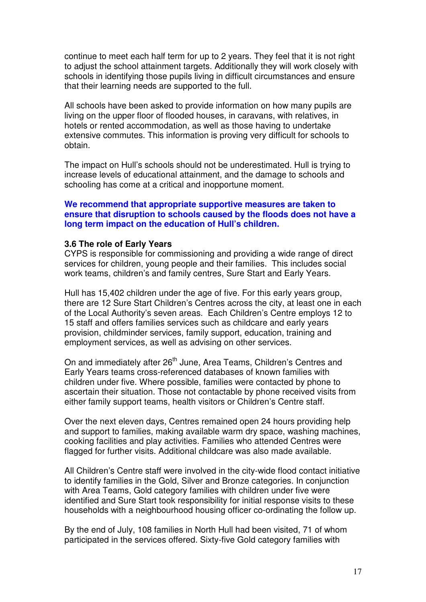continue to meet each half term for up to 2 years. They feel that it is not right to adjust the school attainment targets. Additionally they will work closely with schools in identifying those pupils living in difficult circumstances and ensure that their learning needs are supported to the full.

All schools have been asked to provide information on how many pupils are living on the upper floor of flooded houses, in caravans, with relatives, in hotels or rented accommodation, as well as those having to undertake extensive commutes. This information is proving very difficult for schools to obtain.

The impact on Hull's schools should not be underestimated. Hull is trying to increase levels of educational attainment, and the damage to schools and schooling has come at a critical and inopportune moment.

### **We recommend that appropriate supportive measures are taken to ensure that disruption to schools caused by the floods does not have a long term impact on the education of Hull's children.**

#### **3.6 The role of Early Years**

CYPS is responsible for commissioning and providing a wide range of direct services for children, young people and their families. This includes social work teams, children's and family centres, Sure Start and Early Years.

Hull has 15,402 children under the age of five. For this early years group, there are 12 Sure Start Children's Centres across the city, at least one in each of the Local Authority's seven areas. Each Children's Centre employs 12 to 15 staff and offers families services such as childcare and early years provision, childminder services, family support, education, training and employment services, as well as advising on other services.

On and immediately after 26<sup>th</sup> June, Area Teams, Children's Centres and Early Years teams cross-referenced databases of known families with children under five. Where possible, families were contacted by phone to ascertain their situation. Those not contactable by phone received visits from either family support teams, health visitors or Children's Centre staff.

Over the next eleven days, Centres remained open 24 hours providing help and support to families, making available warm dry space, washing machines, cooking facilities and play activities. Families who attended Centres were flagged for further visits. Additional childcare was also made available.

All Children's Centre staff were involved in the city-wide flood contact initiative to identify families in the Gold, Silver and Bronze categories. In conjunction with Area Teams, Gold category families with children under five were identified and Sure Start took responsibility for initial response visits to these households with a neighbourhood housing officer co-ordinating the follow up.

By the end of July, 108 families in North Hull had been visited, 71 of whom participated in the services offered. Sixty-five Gold category families with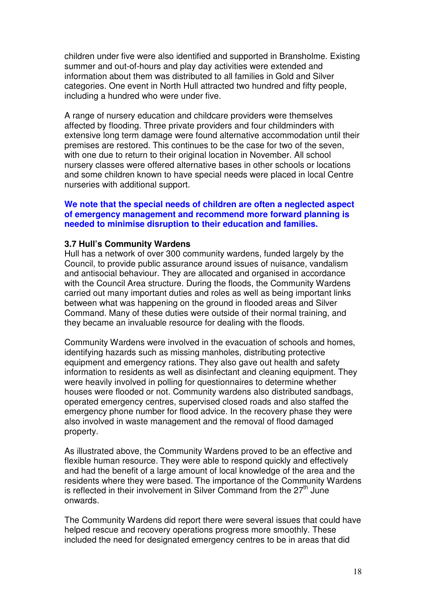children under five were also identified and supported in Bransholme. Existing summer and out-of-hours and play day activities were extended and information about them was distributed to all families in Gold and Silver categories. One event in North Hull attracted two hundred and fifty people, including a hundred who were under five.

A range of nursery education and childcare providers were themselves affected by flooding. Three private providers and four childminders with extensive long term damage were found alternative accommodation until their premises are restored. This continues to be the case for two of the seven, with one due to return to their original location in November. All school nursery classes were offered alternative bases in other schools or locations and some children known to have special needs were placed in local Centre nurseries with additional support.

### **We note that the special needs of children are often a neglected aspect of emergency management and recommend more forward planning is needed to minimise disruption to their education and families.**

#### **3.7 Hull's Community Wardens**

Hull has a network of over 300 community wardens, funded largely by the Council, to provide public assurance around issues of nuisance, vandalism and antisocial behaviour. They are allocated and organised in accordance with the Council Area structure. During the floods, the Community Wardens carried out many important duties and roles as well as being important links between what was happening on the ground in flooded areas and Silver Command. Many of these duties were outside of their normal training, and they became an invaluable resource for dealing with the floods.

Community Wardens were involved in the evacuation of schools and homes, identifying hazards such as missing manholes, distributing protective equipment and emergency rations. They also gave out health and safety information to residents as well as disinfectant and cleaning equipment. They were heavily involved in polling for questionnaires to determine whether houses were flooded or not. Community wardens also distributed sandbags, operated emergency centres, supervised closed roads and also staffed the emergency phone number for flood advice. In the recovery phase they were also involved in waste management and the removal of flood damaged property.

As illustrated above, the Community Wardens proved to be an effective and flexible human resource. They were able to respond quickly and effectively and had the benefit of a large amount of local knowledge of the area and the residents where they were based. The importance of the Community Wardens is reflected in their involvement in Silver Command from the  $27<sup>th</sup>$  June onwards.

The Community Wardens did report there were several issues that could have helped rescue and recovery operations progress more smoothly. These included the need for designated emergency centres to be in areas that did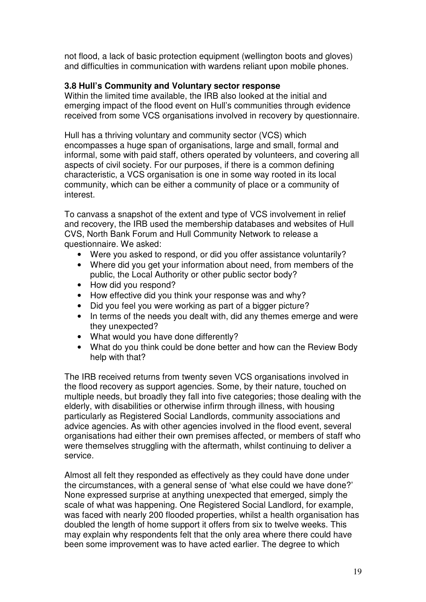not flood, a lack of basic protection equipment (wellington boots and gloves) and difficulties in communication with wardens reliant upon mobile phones.

### **3.8 Hull's Community and Voluntary sector response**

Within the limited time available, the IRB also looked at the initial and emerging impact of the flood event on Hull's communities through evidence received from some VCS organisations involved in recovery by questionnaire.

Hull has a thriving voluntary and community sector (VCS) which encompasses a huge span of organisations, large and small, formal and informal, some with paid staff, others operated by volunteers, and covering all aspects of civil society. For our purposes, if there is a common defining characteristic, a VCS organisation is one in some way rooted in its local community, which can be either a community of place or a community of interest.

To canvass a snapshot of the extent and type of VCS involvement in relief and recovery, the IRB used the membership databases and websites of Hull CVS, North Bank Forum and Hull Community Network to release a questionnaire. We asked:

- Were you asked to respond, or did you offer assistance voluntarily?
- Where did you get your information about need, from members of the public, the Local Authority or other public sector body?
- How did you respond?
- How effective did you think your response was and why?
- Did you feel you were working as part of a bigger picture?
- In terms of the needs you dealt with, did any themes emerge and were they unexpected?
- What would you have done differently?
- What do you think could be done better and how can the Review Body help with that?

The IRB received returns from twenty seven VCS organisations involved in the flood recovery as support agencies. Some, by their nature, touched on multiple needs, but broadly they fall into five categories; those dealing with the elderly, with disabilities or otherwise infirm through illness, with housing particularly as Registered Social Landlords, community associations and advice agencies. As with other agencies involved in the flood event, several organisations had either their own premises affected, or members of staff who were themselves struggling with the aftermath, whilst continuing to deliver a service.

Almost all felt they responded as effectively as they could have done under the circumstances, with a general sense of 'what else could we have done?' None expressed surprise at anything unexpected that emerged, simply the scale of what was happening. One Registered Social Landlord, for example, was faced with nearly 200 flooded properties, whilst a health organisation has doubled the length of home support it offers from six to twelve weeks. This may explain why respondents felt that the only area where there could have been some improvement was to have acted earlier. The degree to which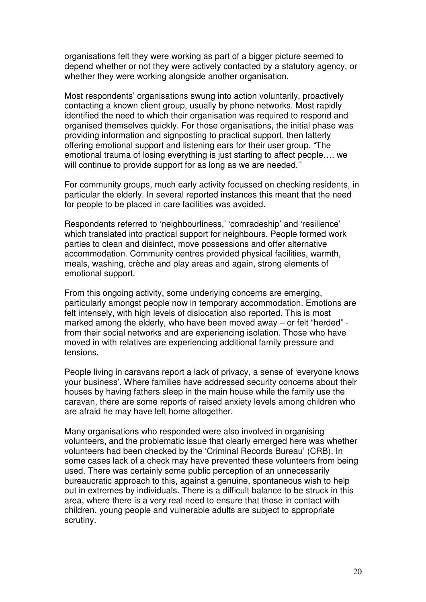organisations felt they were working as part of a bigger picture seemed to depend whether or not they were actively contacted by a statutory agency, or whether they were working alongside another organisation.

Most respondents' organisations swung into action voluntarily, proactively contacting a known client group, usually by phone networks. Most rapidly identified the need to which their organisation was required to respond and organised themselves quickly. For those organisations, the initial phase was providing information and signposting to practical support, then latterly offering emotional support and listening ears for their user group. "The emotional trauma of losing everything is just starting to affect people…. we will continue to provide support for as long as we are needed.''

For community groups, much early activity focussed on checking residents, in particular the elderly. In several reported instances this meant that the need for people to be placed in care facilities was avoided.

Respondents referred to 'neighbourliness,' 'comradeship' and 'resilience' which translated into practical support for neighbours. People formed work parties to clean and disinfect, move possessions and offer alternative accommodation. Community centres provided physical facilities, warmth, meals, washing, crèche and play areas and again, strong elements of emotional support.

From this ongoing activity, some underlying concerns are emerging, particularly amongst people now in temporary accommodation. Emotions are felt intensely, with high levels of dislocation also reported. This is most marked among the elderly, who have been moved away – or felt "herded" from their social networks and are experiencing isolation. Those who have moved in with relatives are experiencing additional family pressure and tensions.

People living in caravans report a lack of privacy, a sense of 'everyone knows your business'. Where families have addressed security concerns about their houses by having fathers sleep in the main house while the family use the caravan, there are some reports of raised anxiety levels among children who are afraid he may have left home altogether.

Many organisations who responded were also involved in organising volunteers, and the problematic issue that clearly emerged here was whether volunteers had been checked by the 'Criminal Records Bureau' (CRB). In some cases lack of a check may have prevented these volunteers from being used. There was certainly some public perception of an unnecessarily bureaucratic approach to this, against a genuine, spontaneous wish to help out in extremes by individuals. There is a difficult balance to be struck in this area, where there is a very real need to ensure that those in contact with children, young people and vulnerable adults are subject to appropriate scrutiny.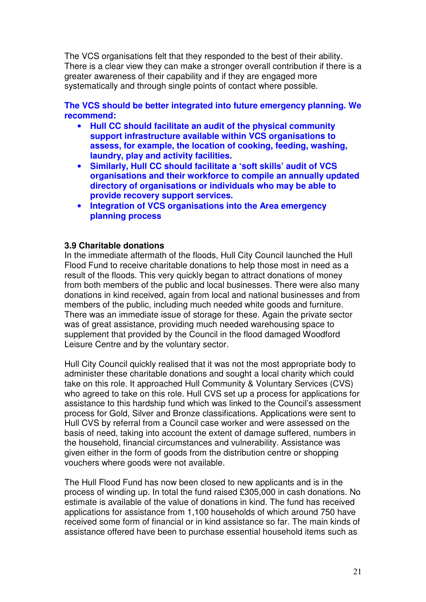The VCS organisations felt that they responded to the best of their ability. There is a clear view they can make a stronger overall contribution if there is a greater awareness of their capability and if they are engaged more systematically and through single points of contact where possible.

**The VCS should be better integrated into future emergency planning. We recommend:** 

- **Hull CC should facilitate an audit of the physical community support infrastructure available within VCS organisations to assess, for example, the location of cooking, feeding, washing, laundry, play and activity facilities.**
- **Similarly, Hull CC should facilitate a 'soft skills' audit of VCS organisations and their workforce to compile an annually updated directory of organisations or individuals who may be able to provide recovery support services.**
- **Integration of VCS organisations into the Area emergency planning process**

### **3.9 Charitable donations**

In the immediate aftermath of the floods, Hull City Council launched the Hull Flood Fund to receive charitable donations to help those most in need as a result of the floods. This very quickly began to attract donations of money from both members of the public and local businesses. There were also many donations in kind received, again from local and national businesses and from members of the public, including much needed white goods and furniture. There was an immediate issue of storage for these. Again the private sector was of great assistance, providing much needed warehousing space to supplement that provided by the Council in the flood damaged Woodford Leisure Centre and by the voluntary sector.

Hull City Council quickly realised that it was not the most appropriate body to administer these charitable donations and sought a local charity which could take on this role. It approached Hull Community & Voluntary Services (CVS) who agreed to take on this role. Hull CVS set up a process for applications for assistance to this hardship fund which was linked to the Council's assessment process for Gold, Silver and Bronze classifications. Applications were sent to Hull CVS by referral from a Council case worker and were assessed on the basis of need, taking into account the extent of damage suffered, numbers in the household, financial circumstances and vulnerability. Assistance was given either in the form of goods from the distribution centre or shopping vouchers where goods were not available.

The Hull Flood Fund has now been closed to new applicants and is in the process of winding up. In total the fund raised £305,000 in cash donations. No estimate is available of the value of donations in kind. The fund has received applications for assistance from 1,100 households of which around 750 have received some form of financial or in kind assistance so far. The main kinds of assistance offered have been to purchase essential household items such as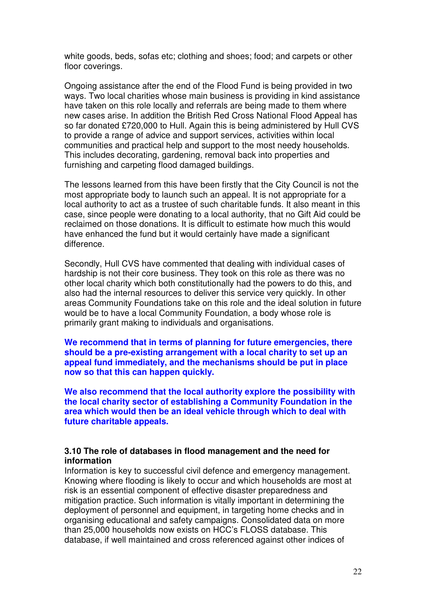white goods, beds, sofas etc; clothing and shoes; food; and carpets or other floor coverings.

Ongoing assistance after the end of the Flood Fund is being provided in two ways. Two local charities whose main business is providing in kind assistance have taken on this role locally and referrals are being made to them where new cases arise. In addition the British Red Cross National Flood Appeal has so far donated £720,000 to Hull. Again this is being administered by Hull CVS to provide a range of advice and support services, activities within local communities and practical help and support to the most needy households. This includes decorating, gardening, removal back into properties and furnishing and carpeting flood damaged buildings.

The lessons learned from this have been firstly that the City Council is not the most appropriate body to launch such an appeal. It is not appropriate for a local authority to act as a trustee of such charitable funds. It also meant in this case, since people were donating to a local authority, that no Gift Aid could be reclaimed on those donations. It is difficult to estimate how much this would have enhanced the fund but it would certainly have made a significant difference.

Secondly, Hull CVS have commented that dealing with individual cases of hardship is not their core business. They took on this role as there was no other local charity which both constitutionally had the powers to do this, and also had the internal resources to deliver this service very quickly. In other areas Community Foundations take on this role and the ideal solution in future would be to have a local Community Foundation, a body whose role is primarily grant making to individuals and organisations.

**We recommend that in terms of planning for future emergencies, there should be a pre-existing arrangement with a local charity to set up an appeal fund immediately, and the mechanisms should be put in place now so that this can happen quickly.** 

**We also recommend that the local authority explore the possibility with the local charity sector of establishing a Community Foundation in the area which would then be an ideal vehicle through which to deal with future charitable appeals.** 

### **3.10 The role of databases in flood management and the need for information**

Information is key to successful civil defence and emergency management. Knowing where flooding is likely to occur and which households are most at risk is an essential component of effective disaster preparedness and mitigation practice. Such information is vitally important in determining the deployment of personnel and equipment, in targeting home checks and in organising educational and safety campaigns. Consolidated data on more than 25,000 households now exists on HCC's FLOSS database. This database, if well maintained and cross referenced against other indices of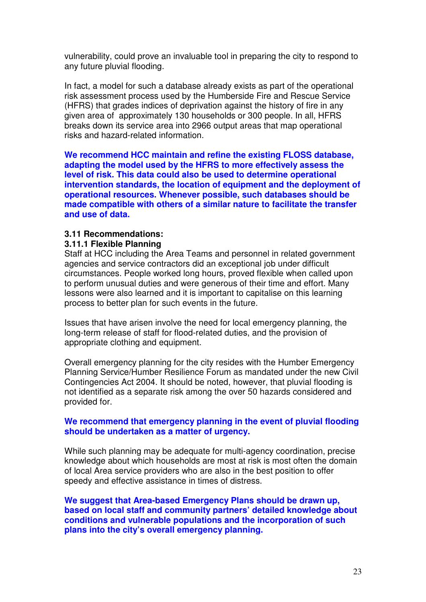vulnerability, could prove an invaluable tool in preparing the city to respond to any future pluvial flooding.

In fact, a model for such a database already exists as part of the operational risk assessment process used by the Humberside Fire and Rescue Service (HFRS) that grades indices of deprivation against the history of fire in any given area of approximately 130 households or 300 people. In all, HFRS breaks down its service area into 2966 output areas that map operational risks and hazard-related information.

**We recommend HCC maintain and refine the existing FLOSS database, adapting the model used by the HFRS to more effectively assess the level of risk. This data could also be used to determine operational intervention standards, the location of equipment and the deployment of operational resources. Whenever possible, such databases should be made compatible with others of a similar nature to facilitate the transfer and use of data.** 

### **3.11 Recommendations:**

#### **3.11.1 Flexible Planning**

Staff at HCC including the Area Teams and personnel in related government agencies and service contractors did an exceptional job under difficult circumstances. People worked long hours, proved flexible when called upon to perform unusual duties and were generous of their time and effort. Many lessons were also learned and it is important to capitalise on this learning process to better plan for such events in the future.

Issues that have arisen involve the need for local emergency planning, the long-term release of staff for flood-related duties, and the provision of appropriate clothing and equipment.

Overall emergency planning for the city resides with the Humber Emergency Planning Service/Humber Resilience Forum as mandated under the new Civil Contingencies Act 2004. It should be noted, however, that pluvial flooding is not identified as a separate risk among the over 50 hazards considered and provided for.

### **We recommend that emergency planning in the event of pluvial flooding should be undertaken as a matter of urgency.**

While such planning may be adequate for multi-agency coordination, precise knowledge about which households are most at risk is most often the domain of local Area service providers who are also in the best position to offer speedy and effective assistance in times of distress.

**We suggest that Area-based Emergency Plans should be drawn up, based on local staff and community partners' detailed knowledge about conditions and vulnerable populations and the incorporation of such plans into the city's overall emergency planning.**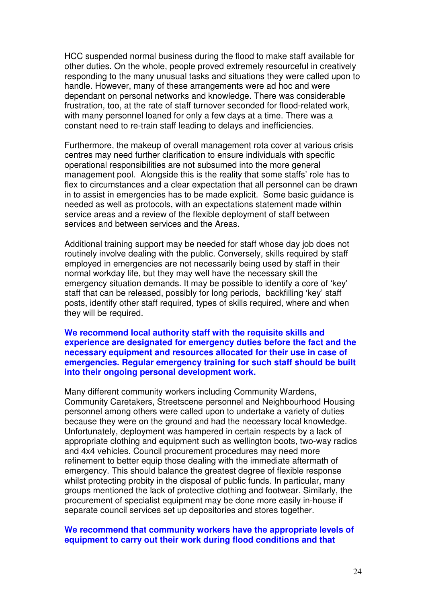HCC suspended normal business during the flood to make staff available for other duties. On the whole, people proved extremely resourceful in creatively responding to the many unusual tasks and situations they were called upon to handle. However, many of these arrangements were ad hoc and were dependant on personal networks and knowledge. There was considerable frustration, too, at the rate of staff turnover seconded for flood-related work, with many personnel loaned for only a few days at a time. There was a constant need to re-train staff leading to delays and inefficiencies.

Furthermore, the makeup of overall management rota cover at various crisis centres may need further clarification to ensure individuals with specific operational responsibilities are not subsumed into the more general management pool. Alongside this is the reality that some staffs' role has to flex to circumstances and a clear expectation that all personnel can be drawn in to assist in emergencies has to be made explicit. Some basic guidance is needed as well as protocols, with an expectations statement made within service areas and a review of the flexible deployment of staff between services and between services and the Areas.

Additional training support may be needed for staff whose day job does not routinely involve dealing with the public. Conversely, skills required by staff employed in emergencies are not necessarily being used by staff in their normal workday life, but they may well have the necessary skill the emergency situation demands. It may be possible to identify a core of 'key' staff that can be released, possibly for long periods, backfilling 'key' staff posts, identify other staff required, types of skills required, where and when they will be required.

**We recommend local authority staff with the requisite skills and experience are designated for emergency duties before the fact and the necessary equipment and resources allocated for their use in case of emergencies. Regular emergency training for such staff should be built into their ongoing personal development work.** 

Many different community workers including Community Wardens, Community Caretakers, Streetscene personnel and Neighbourhood Housing personnel among others were called upon to undertake a variety of duties because they were on the ground and had the necessary local knowledge. Unfortunately, deployment was hampered in certain respects by a lack of appropriate clothing and equipment such as wellington boots, two-way radios and 4x4 vehicles. Council procurement procedures may need more refinement to better equip those dealing with the immediate aftermath of emergency. This should balance the greatest degree of flexible response whilst protecting probity in the disposal of public funds. In particular, many groups mentioned the lack of protective clothing and footwear. Similarly, the procurement of specialist equipment may be done more easily in-house if separate council services set up depositories and stores together.

#### **We recommend that community workers have the appropriate levels of equipment to carry out their work during flood conditions and that**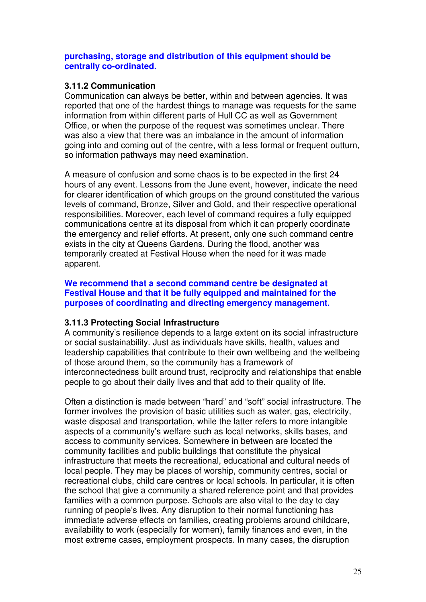### **purchasing, storage and distribution of this equipment should be centrally co-ordinated.**

### **3.11.2 Communication**

Communication can always be better, within and between agencies. It was reported that one of the hardest things to manage was requests for the same information from within different parts of Hull CC as well as Government Office, or when the purpose of the request was sometimes unclear. There was also a view that there was an imbalance in the amount of information going into and coming out of the centre, with a less formal or frequent outturn, so information pathways may need examination.

A measure of confusion and some chaos is to be expected in the first 24 hours of any event. Lessons from the June event, however, indicate the need for clearer identification of which groups on the ground constituted the various levels of command, Bronze, Silver and Gold, and their respective operational responsibilities. Moreover, each level of command requires a fully equipped communications centre at its disposal from which it can properly coordinate the emergency and relief efforts. At present, only one such command centre exists in the city at Queens Gardens. During the flood, another was temporarily created at Festival House when the need for it was made apparent.

### **We recommend that a second command centre be designated at Festival House and that it be fully equipped and maintained for the purposes of coordinating and directing emergency management.**

### **3.11.3 Protecting Social Infrastructure**

A community's resilience depends to a large extent on its social infrastructure or social sustainability. Just as individuals have skills, health, values and leadership capabilities that contribute to their own wellbeing and the wellbeing of those around them, so the community has a framework of interconnectedness built around trust, reciprocity and relationships that enable people to go about their daily lives and that add to their quality of life.

Often a distinction is made between "hard" and "soft" social infrastructure. The former involves the provision of basic utilities such as water, gas, electricity, waste disposal and transportation, while the latter refers to more intangible aspects of a community's welfare such as local networks, skills bases, and access to community services. Somewhere in between are located the community facilities and public buildings that constitute the physical infrastructure that meets the recreational, educational and cultural needs of local people. They may be places of worship, community centres, social or recreational clubs, child care centres or local schools. In particular, it is often the school that give a community a shared reference point and that provides families with a common purpose. Schools are also vital to the day to day running of people's lives. Any disruption to their normal functioning has immediate adverse effects on families, creating problems around childcare, availability to work (especially for women), family finances and even, in the most extreme cases, employment prospects. In many cases, the disruption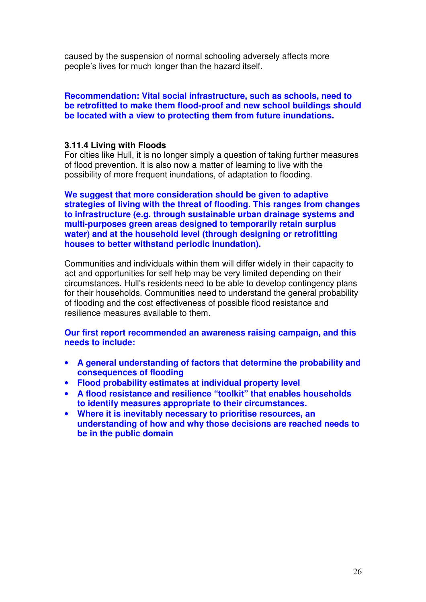caused by the suspension of normal schooling adversely affects more people's lives for much longer than the hazard itself.

### **Recommendation: Vital social infrastructure, such as schools, need to be retrofitted to make them flood-proof and new school buildings should be located with a view to protecting them from future inundations.**

### **3.11.4 Living with Floods**

For cities like Hull, it is no longer simply a question of taking further measures of flood prevention. It is also now a matter of learning to live with the possibility of more frequent inundations, of adaptation to flooding.

**We suggest that more consideration should be given to adaptive strategies of living with the threat of flooding. This ranges from changes to infrastructure (e.g. through sustainable urban drainage systems and multi-purposes green areas designed to temporarily retain surplus water) and at the household level (through designing or retrofitting houses to better withstand periodic inundation).** 

Communities and individuals within them will differ widely in their capacity to act and opportunities for self help may be very limited depending on their circumstances. Hull's residents need to be able to develop contingency plans for their households. Communities need to understand the general probability of flooding and the cost effectiveness of possible flood resistance and resilience measures available to them.

**Our first report recommended an awareness raising campaign, and this needs to include:** 

- **A general understanding of factors that determine the probability and consequences of flooding**
- **Flood probability estimates at individual property level**
- **A flood resistance and resilience "toolkit" that enables households to identify measures appropriate to their circumstances.**
- **Where it is inevitably necessary to prioritise resources, an understanding of how and why those decisions are reached needs to be in the public domain**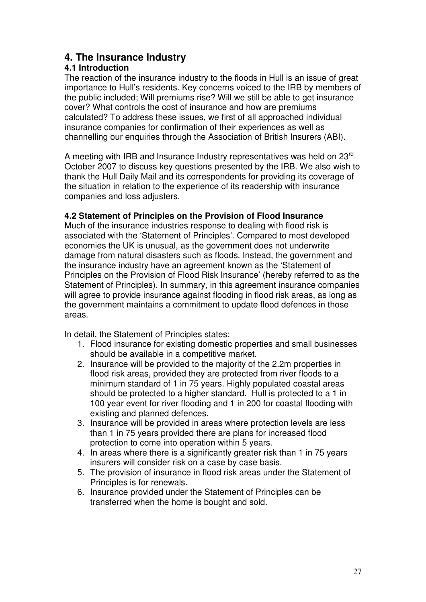# **4. The Insurance Industry**

# **4.1 Introduction**

The reaction of the insurance industry to the floods in Hull is an issue of great importance to Hull's residents. Key concerns voiced to the IRB by members of the public included; Will premiums rise? Will we still be able to get insurance cover? What controls the cost of insurance and how are premiums calculated? To address these issues, we first of all approached individual insurance companies for confirmation of their experiences as well as channelling our enquiries through the Association of British Insurers (ABI).

A meeting with IRB and Insurance Industry representatives was held on 23<sup>rd</sup> October 2007 to discuss key questions presented by the IRB. We also wish to thank the Hull Daily Mail and its correspondents for providing its coverage of the situation in relation to the experience of its readership with insurance companies and loss adjusters.

### **4.2 Statement of Principles on the Provision of Flood Insurance**

Much of the insurance industries response to dealing with flood risk is associated with the 'Statement of Principles'. Compared to most developed economies the UK is unusual, as the government does not underwrite damage from natural disasters such as floods. Instead, the government and the insurance industry have an agreement known as the 'Statement of Principles on the Provision of Flood Risk Insurance' (hereby referred to as the Statement of Principles). In summary, in this agreement insurance companies will agree to provide insurance against flooding in flood risk areas, as long as the government maintains a commitment to update flood defences in those areas.

In detail, the Statement of Principles states:

- 1. Flood insurance for existing domestic properties and small businesses should be available in a competitive market.
- 2. Insurance will be provided to the majority of the 2.2m properties in flood risk areas, provided they are protected from river floods to a minimum standard of 1 in 75 years. Highly populated coastal areas should be protected to a higher standard. Hull is protected to a 1 in 100 year event for river flooding and 1 in 200 for coastal flooding with existing and planned defences.
- 3. Insurance will be provided in areas where protection levels are less than 1 in 75 years provided there are plans for increased flood protection to come into operation within 5 years.
- 4. In areas where there is a significantly greater risk than 1 in 75 years insurers will consider risk on a case by case basis.
- 5. The provision of insurance in flood risk areas under the Statement of Principles is for renewals.
- 6. Insurance provided under the Statement of Principles can be transferred when the home is bought and sold.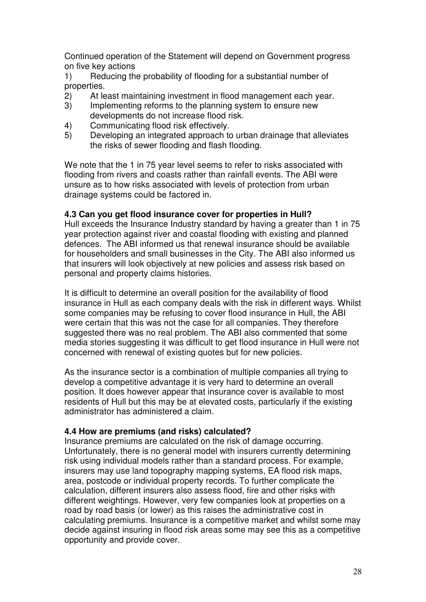Continued operation of the Statement will depend on Government progress on five key actions

1) Reducing the probability of flooding for a substantial number of properties.

- 2) At least maintaining investment in flood management each year.
- 3) Implementing reforms to the planning system to ensure new developments do not increase flood risk.
- 4) Communicating flood risk effectively.
- 5) Developing an integrated approach to urban drainage that alleviates the risks of sewer flooding and flash flooding.

We note that the 1 in 75 year level seems to refer to risks associated with flooding from rivers and coasts rather than rainfall events. The ABI were unsure as to how risks associated with levels of protection from urban drainage systems could be factored in.

### **4.3 Can you get flood insurance cover for properties in Hull?**

Hull exceeds the Insurance Industry standard by having a greater than 1 in 75 year protection against river and coastal flooding with existing and planned defences. The ABI informed us that renewal insurance should be available for householders and small businesses in the City. The ABI also informed us that insurers will look objectively at new policies and assess risk based on personal and property claims histories.

It is difficult to determine an overall position for the availability of flood insurance in Hull as each company deals with the risk in different ways. Whilst some companies may be refusing to cover flood insurance in Hull, the ABI were certain that this was not the case for all companies. They therefore suggested there was no real problem. The ABI also commented that some media stories suggesting it was difficult to get flood insurance in Hull were not concerned with renewal of existing quotes but for new policies.

As the insurance sector is a combination of multiple companies all trying to develop a competitive advantage it is very hard to determine an overall position. It does however appear that insurance cover is available to most residents of Hull but this may be at elevated costs, particularly if the existing administrator has administered a claim.

# **4.4 How are premiums (and risks) calculated?**

Insurance premiums are calculated on the risk of damage occurring. Unfortunately, there is no general model with insurers currently determining risk using individual models rather than a standard process. For example, insurers may use land topography mapping systems, EA flood risk maps, area, postcode or individual property records. To further complicate the calculation, different insurers also assess flood, fire and other risks with different weightings. However, very few companies look at properties on a road by road basis (or lower) as this raises the administrative cost in calculating premiums. Insurance is a competitive market and whilst some may decide against insuring in flood risk areas some may see this as a competitive opportunity and provide cover.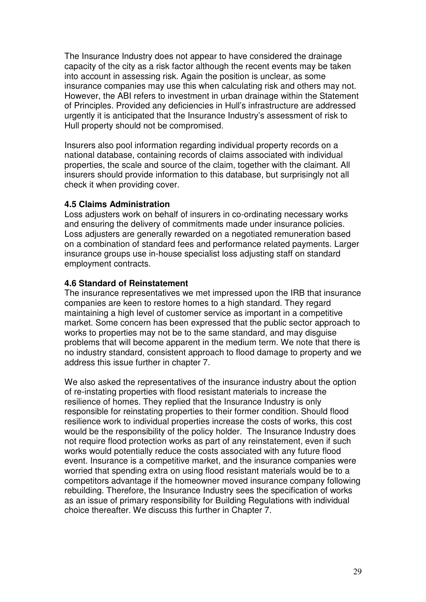The Insurance Industry does not appear to have considered the drainage capacity of the city as a risk factor although the recent events may be taken into account in assessing risk. Again the position is unclear, as some insurance companies may use this when calculating risk and others may not. However, the ABI refers to investment in urban drainage within the Statement of Principles. Provided any deficiencies in Hull's infrastructure are addressed urgently it is anticipated that the Insurance Industry's assessment of risk to Hull property should not be compromised.

Insurers also pool information regarding individual property records on a national database, containing records of claims associated with individual properties, the scale and source of the claim, together with the claimant. All insurers should provide information to this database, but surprisingly not all check it when providing cover.

### **4.5 Claims Administration**

Loss adjusters work on behalf of insurers in co-ordinating necessary works and ensuring the delivery of commitments made under insurance policies. Loss adjusters are generally rewarded on a negotiated remuneration based on a combination of standard fees and performance related payments. Larger insurance groups use in-house specialist loss adjusting staff on standard employment contracts.

### **4.6 Standard of Reinstatement**

The insurance representatives we met impressed upon the IRB that insurance companies are keen to restore homes to a high standard. They regard maintaining a high level of customer service as important in a competitive market. Some concern has been expressed that the public sector approach to works to properties may not be to the same standard, and may disguise problems that will become apparent in the medium term. We note that there is no industry standard, consistent approach to flood damage to property and we address this issue further in chapter 7.

We also asked the representatives of the insurance industry about the option of re-instating properties with flood resistant materials to increase the resilience of homes. They replied that the Insurance Industry is only responsible for reinstating properties to their former condition. Should flood resilience work to individual properties increase the costs of works, this cost would be the responsibility of the policy holder. The Insurance Industry does not require flood protection works as part of any reinstatement, even if such works would potentially reduce the costs associated with any future flood event. Insurance is a competitive market, and the insurance companies were worried that spending extra on using flood resistant materials would be to a competitors advantage if the homeowner moved insurance company following rebuilding. Therefore, the Insurance Industry sees the specification of works as an issue of primary responsibility for Building Regulations with individual choice thereafter. We discuss this further in Chapter 7.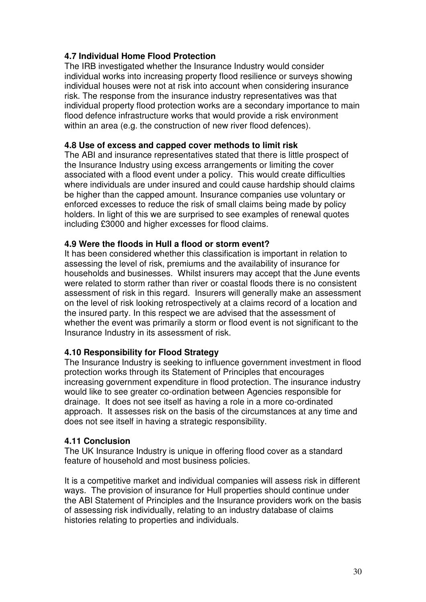# **4.7 Individual Home Flood Protection**

The IRB investigated whether the Insurance Industry would consider individual works into increasing property flood resilience or surveys showing individual houses were not at risk into account when considering insurance risk. The response from the insurance industry representatives was that individual property flood protection works are a secondary importance to main flood defence infrastructure works that would provide a risk environment within an area (e.g. the construction of new river flood defences).

# **4.8 Use of excess and capped cover methods to limit risk**

The ABI and insurance representatives stated that there is little prospect of the Insurance Industry using excess arrangements or limiting the cover associated with a flood event under a policy. This would create difficulties where individuals are under insured and could cause hardship should claims be higher than the capped amount. Insurance companies use voluntary or enforced excesses to reduce the risk of small claims being made by policy holders. In light of this we are surprised to see examples of renewal quotes including £3000 and higher excesses for flood claims.

# **4.9 Were the floods in Hull a flood or storm event?**

It has been considered whether this classification is important in relation to assessing the level of risk, premiums and the availability of insurance for households and businesses. Whilst insurers may accept that the June events were related to storm rather than river or coastal floods there is no consistent assessment of risk in this regard. Insurers will generally make an assessment on the level of risk looking retrospectively at a claims record of a location and the insured party. In this respect we are advised that the assessment of whether the event was primarily a storm or flood event is not significant to the Insurance Industry in its assessment of risk.

# **4.10 Responsibility for Flood Strategy**

The Insurance Industry is seeking to influence government investment in flood protection works through its Statement of Principles that encourages increasing government expenditure in flood protection. The insurance industry would like to see greater co-ordination between Agencies responsible for drainage. It does not see itself as having a role in a more co-ordinated approach. It assesses risk on the basis of the circumstances at any time and does not see itself in having a strategic responsibility.

### **4.11 Conclusion**

The UK Insurance Industry is unique in offering flood cover as a standard feature of household and most business policies.

It is a competitive market and individual companies will assess risk in different ways. The provision of insurance for Hull properties should continue under the ABI Statement of Principles and the Insurance providers work on the basis of assessing risk individually, relating to an industry database of claims histories relating to properties and individuals.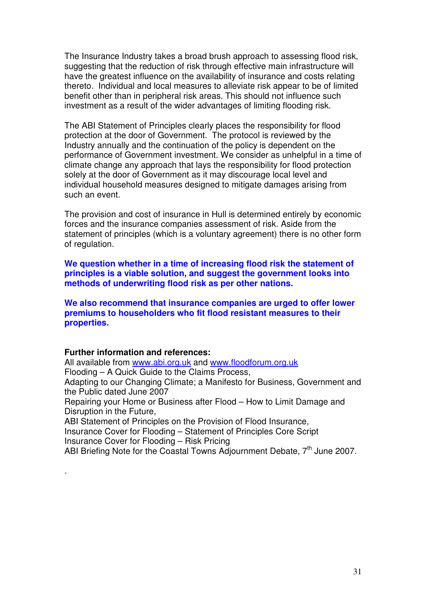The Insurance Industry takes a broad brush approach to assessing flood risk, suggesting that the reduction of risk through effective main infrastructure will have the greatest influence on the availability of insurance and costs relating thereto. Individual and local measures to alleviate risk appear to be of limited benefit other than in peripheral risk areas. This should not influence such investment as a result of the wider advantages of limiting flooding risk.

The ABI Statement of Principles clearly places the responsibility for flood protection at the door of Government. The protocol is reviewed by the Industry annually and the continuation of the policy is dependent on the performance of Government investment. We consider as unhelpful in a time of climate change any approach that lays the responsibility for flood protection solely at the door of Government as it may discourage local level and individual household measures designed to mitigate damages arising from such an event.

The provision and cost of insurance in Hull is determined entirely by economic forces and the insurance companies assessment of risk. Aside from the statement of principles (which is a voluntary agreement) there is no other form of regulation.

**We question whether in a time of increasing flood risk the statement of principles is a viable solution, and suggest the government looks into methods of underwriting flood risk as per other nations.** 

**We also recommend that insurance companies are urged to offer lower premiums to householders who fit flood resistant measures to their properties.** 

#### **Further information and references:**

.

All available from www.abi.org.uk and www.floodforum.org.uk Flooding – A Quick Guide to the Claims Process, Adapting to our Changing Climate; a Manifesto for Business, Government and the Public dated June 2007 Repairing your Home or Business after Flood – How to Limit Damage and Disruption in the Future, ABI Statement of Principles on the Provision of Flood Insurance, Insurance Cover for Flooding – Statement of Principles Core Script Insurance Cover for Flooding – Risk Pricing ABI Briefing Note for the Coastal Towns Adjournment Debate, 7<sup>th</sup> June 2007.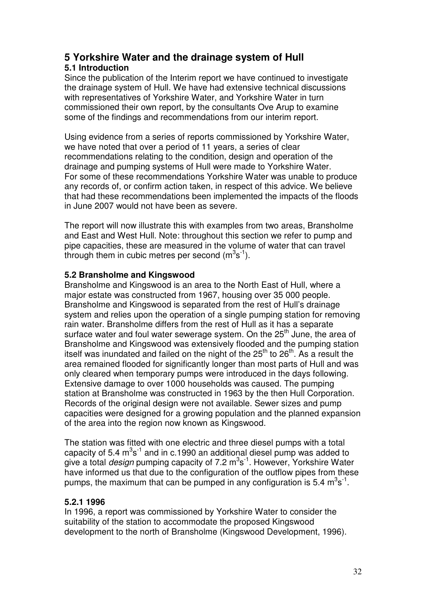# **5 Yorkshire Water and the drainage system of Hull**

# **5.1 Introduction**

Since the publication of the Interim report we have continued to investigate the drainage system of Hull. We have had extensive technical discussions with representatives of Yorkshire Water, and Yorkshire Water in turn commissioned their own report, by the consultants Ove Arup to examine some of the findings and recommendations from our interim report.

Using evidence from a series of reports commissioned by Yorkshire Water, we have noted that over a period of 11 years, a series of clear recommendations relating to the condition, design and operation of the drainage and pumping systems of Hull were made to Yorkshire Water. For some of these recommendations Yorkshire Water was unable to produce any records of, or confirm action taken, in respect of this advice. We believe that had these recommendations been implemented the impacts of the floods in June 2007 would not have been as severe.

The report will now illustrate this with examples from two areas, Bransholme and East and West Hull. Note: throughout this section we refer to pump and pipe capacities, these are measured in the volume of water that can travel through them in cubic metres per second  $(m^3s^1)$ .

# **5.2 Bransholme and Kingswood**

Bransholme and Kingswood is an area to the North East of Hull, where a major estate was constructed from 1967, housing over 35 000 people. Bransholme and Kingswood is separated from the rest of Hull's drainage system and relies upon the operation of a single pumping station for removing rain water. Bransholme differs from the rest of Hull as it has a separate surface water and foul water sewerage system. On the 25<sup>th</sup> June, the area of Bransholme and Kingswood was extensively flooded and the pumping station itself was inundated and failed on the night of the  $25<sup>th</sup>$  to  $26<sup>th</sup>$ . As a result the area remained flooded for significantly longer than most parts of Hull and was only cleared when temporary pumps were introduced in the days following. Extensive damage to over 1000 households was caused. The pumping station at Bransholme was constructed in 1963 by the then Hull Corporation. Records of the original design were not available. Sewer sizes and pump capacities were designed for a growing population and the planned expansion of the area into the region now known as Kingswood.

The station was fitted with one electric and three diesel pumps with a total capacity of 5.4  $m^3s^{-1}$  and in c.1990 an additional diesel pump was added to give a total *design* pumping capacity of 7.2 m<sup>3</sup>s<sup>-1</sup>. However, Yorkshire Water have informed us that due to the configuration of the outflow pipes from these pumps, the maximum that can be pumped in any configuration is 5.4  $m^3s^1$ .

# **5.2.1 1996**

In 1996, a report was commissioned by Yorkshire Water to consider the suitability of the station to accommodate the proposed Kingswood development to the north of Bransholme (Kingswood Development, 1996).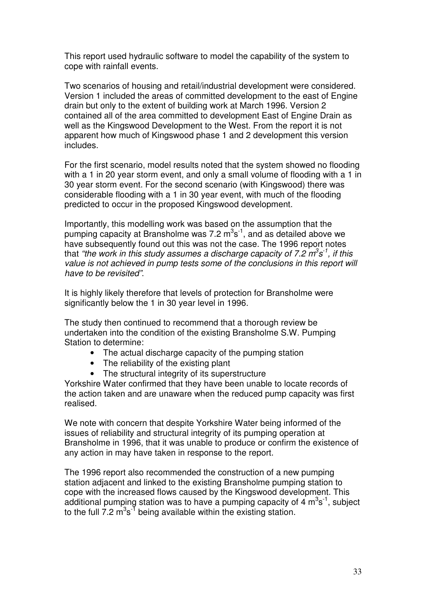This report used hydraulic software to model the capability of the system to cope with rainfall events.

Two scenarios of housing and retail/industrial development were considered. Version 1 included the areas of committed development to the east of Engine drain but only to the extent of building work at March 1996. Version 2 contained all of the area committed to development East of Engine Drain as well as the Kingswood Development to the West. From the report it is not apparent how much of Kingswood phase 1 and 2 development this version includes.

For the first scenario, model results noted that the system showed no flooding with a 1 in 20 year storm event, and only a small volume of flooding with a 1 in 30 year storm event. For the second scenario (with Kingswood) there was considerable flooding with a 1 in 30 year event, with much of the flooding predicted to occur in the proposed Kingswood development.

Importantly, this modelling work was based on the assumption that the pumping capacity at Bransholme was 7.2  $\text{m}^3\text{s}^{-1}$ , and as detailed above we have subsequently found out this was not the case. The 1996 report notes that "the work in this study assumes a discharge capacity of 7.2  $m^3$ s<sup>-1</sup>, if this value is not achieved in pump tests some of the conclusions in this report will have to be revisited".

It is highly likely therefore that levels of protection for Bransholme were significantly below the 1 in 30 year level in 1996.

The study then continued to recommend that a thorough review be undertaken into the condition of the existing Bransholme S.W. Pumping Station to determine:

- The actual discharge capacity of the pumping station
- The reliability of the existing plant
- The structural integrity of its superstructure

Yorkshire Water confirmed that they have been unable to locate records of the action taken and are unaware when the reduced pump capacity was first realised.

We note with concern that despite Yorkshire Water being informed of the issues of reliability and structural integrity of its pumping operation at Bransholme in 1996, that it was unable to produce or confirm the existence of any action in may have taken in response to the report.

The 1996 report also recommended the construction of a new pumping station adjacent and linked to the existing Bransholme pumping station to cope with the increased flows caused by the Kingswood development. This additional pumping station was to have a pumping capacity of 4  $m^3s^{-1}$ , subject to the full 7.2  $m^3 s^3$  being available within the existing station.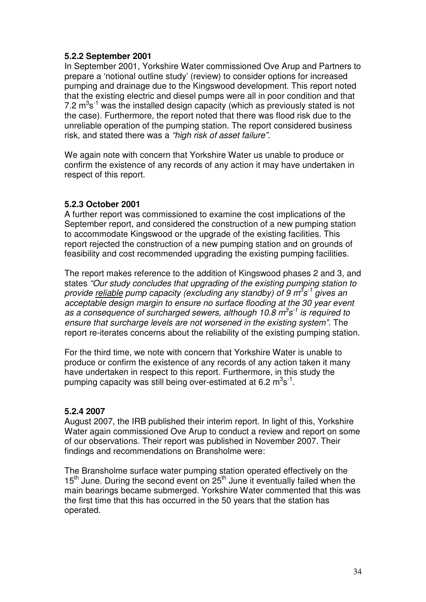# **5.2.2 September 2001**

In September 2001, Yorkshire Water commissioned Ove Arup and Partners to prepare a 'notional outline study' (review) to consider options for increased pumping and drainage due to the Kingswood development. This report noted that the existing electric and diesel pumps were all in poor condition and that 7.2  $\mathrm{m}^3\mathrm{s}^{\text{-}1}$  was the installed design capacity (which as previously stated is not the case). Furthermore, the report noted that there was flood risk due to the unreliable operation of the pumping station. The report considered business risk, and stated there was a "high risk of asset failure".

We again note with concern that Yorkshire Water us unable to produce or confirm the existence of any records of any action it may have undertaken in respect of this report.

# **5.2.3 October 2001**

A further report was commissioned to examine the cost implications of the September report, and considered the construction of a new pumping station to accommodate Kingswood or the upgrade of the existing facilities. This report rejected the construction of a new pumping station and on grounds of feasibility and cost recommended upgrading the existing pumping facilities.

The report makes reference to the addition of Kingswood phases 2 and 3, and states "Our study concludes that upgrading of the existing pumping station to provide reliable pump capacity (excluding any standby) of 9 m<sup>3</sup>s<sup>-1</sup> gives an acceptable design margin to ensure no surface flooding at the 30 year event as a consequence of surcharged sewers, although 10.8  $m^3s^{-1}$  is required to ensure that surcharge levels are not worsened in the existing system". The report re-iterates concerns about the reliability of the existing pumping station.

For the third time, we note with concern that Yorkshire Water is unable to produce or confirm the existence of any records of any action taken it many have undertaken in respect to this report. Furthermore, in this study the pumping capacity was still being over-estimated at 6.2  $\text{m}^3\text{s}^{-1}$ .

### **5.2.4 2007**

August 2007, the IRB published their interim report. In light of this, Yorkshire Water again commissioned Ove Arup to conduct a review and report on some of our observations. Their report was published in November 2007. Their findings and recommendations on Bransholme were:

The Bransholme surface water pumping station operated effectively on the  $15<sup>th</sup>$  June. During the second event on  $25<sup>th</sup>$  June it eventually failed when the main bearings became submerged. Yorkshire Water commented that this was the first time that this has occurred in the 50 years that the station has operated.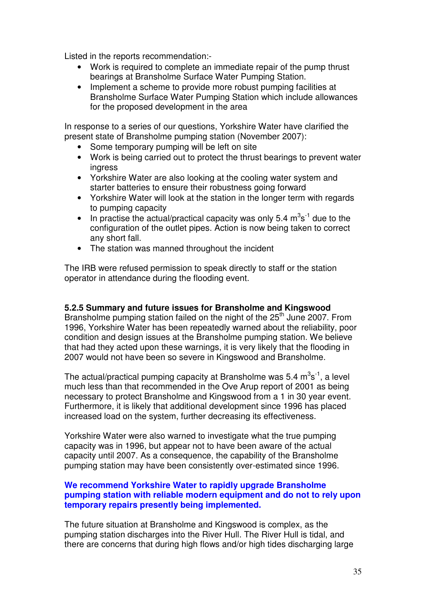Listed in the reports recommendation:-

- Work is required to complete an immediate repair of the pump thrust bearings at Bransholme Surface Water Pumping Station.
- Implement a scheme to provide more robust pumping facilities at Bransholme Surface Water Pumping Station which include allowances for the proposed development in the area

In response to a series of our questions, Yorkshire Water have clarified the present state of Bransholme pumping station (November 2007):

- Some temporary pumping will be left on site
- Work is being carried out to protect the thrust bearings to prevent water ingress
- Yorkshire Water are also looking at the cooling water system and starter batteries to ensure their robustness going forward
- Yorkshire Water will look at the station in the longer term with regards to pumping capacity
- In practise the actual/practical capacity was only 5.4  $\text{m}^3\text{s}^{-1}$  due to the configuration of the outlet pipes. Action is now being taken to correct any short fall.
- The station was manned throughout the incident

The IRB were refused permission to speak directly to staff or the station operator in attendance during the flooding event.

### **5.2.5 Summary and future issues for Bransholme and Kingswood**

Bransholme pumping station failed on the night of the 25<sup>th</sup> June 2007. From 1996, Yorkshire Water has been repeatedly warned about the reliability, poor condition and design issues at the Bransholme pumping station. We believe that had they acted upon these warnings, it is very likely that the flooding in 2007 would not have been so severe in Kingswood and Bransholme.

The actual/practical pumping capacity at Bransholme was 5.4  $m^3s^{-1}$ , a level much less than that recommended in the Ove Arup report of 2001 as being necessary to protect Bransholme and Kingswood from a 1 in 30 year event. Furthermore, it is likely that additional development since 1996 has placed increased load on the system, further decreasing its effectiveness.

Yorkshire Water were also warned to investigate what the true pumping capacity was in 1996, but appear not to have been aware of the actual capacity until 2007. As a consequence, the capability of the Bransholme pumping station may have been consistently over-estimated since 1996.

### **We recommend Yorkshire Water to rapidly upgrade Bransholme pumping station with reliable modern equipment and do not to rely upon temporary repairs presently being implemented.**

The future situation at Bransholme and Kingswood is complex, as the pumping station discharges into the River Hull. The River Hull is tidal, and there are concerns that during high flows and/or high tides discharging large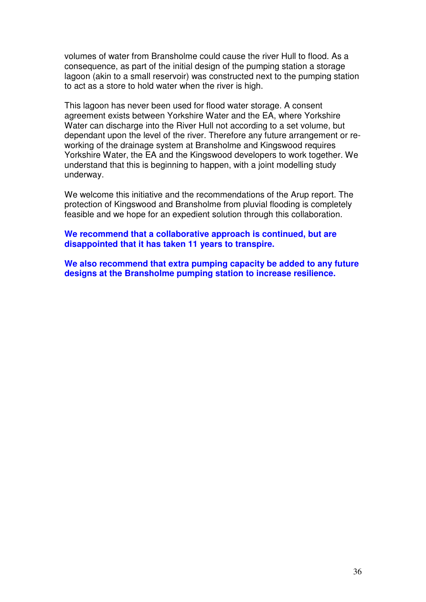volumes of water from Bransholme could cause the river Hull to flood. As a consequence, as part of the initial design of the pumping station a storage lagoon (akin to a small reservoir) was constructed next to the pumping station to act as a store to hold water when the river is high.

This lagoon has never been used for flood water storage. A consent agreement exists between Yorkshire Water and the EA, where Yorkshire Water can discharge into the River Hull not according to a set volume, but dependant upon the level of the river. Therefore any future arrangement or reworking of the drainage system at Bransholme and Kingswood requires Yorkshire Water, the EA and the Kingswood developers to work together. We understand that this is beginning to happen, with a joint modelling study underway.

We welcome this initiative and the recommendations of the Arup report. The protection of Kingswood and Bransholme from pluvial flooding is completely feasible and we hope for an expedient solution through this collaboration.

**We recommend that a collaborative approach is continued, but are disappointed that it has taken 11 years to transpire.** 

**We also recommend that extra pumping capacity be added to any future designs at the Bransholme pumping station to increase resilience.**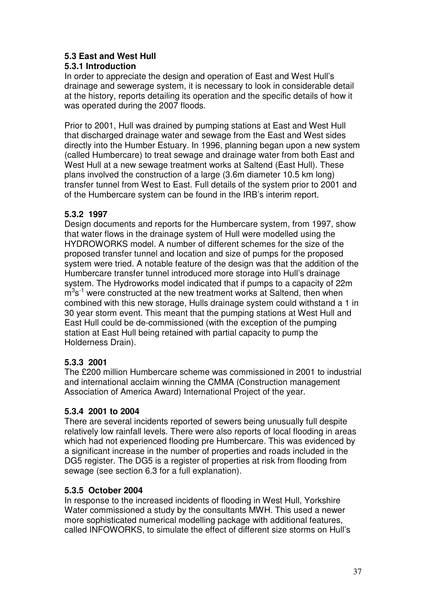# **5.3 East and West Hull**

# **5.3.1 Introduction**

In order to appreciate the design and operation of East and West Hull's drainage and sewerage system, it is necessary to look in considerable detail at the history, reports detailing its operation and the specific details of how it was operated during the 2007 floods.

Prior to 2001, Hull was drained by pumping stations at East and West Hull that discharged drainage water and sewage from the East and West sides directly into the Humber Estuary. In 1996, planning began upon a new system (called Humbercare) to treat sewage and drainage water from both East and West Hull at a new sewage treatment works at Saltend (East Hull). These plans involved the construction of a large (3.6m diameter 10.5 km long) transfer tunnel from West to East. Full details of the system prior to 2001 and of the Humbercare system can be found in the IRB's interim report.

# **5.3.2 1997**

Design documents and reports for the Humbercare system, from 1997, show that water flows in the drainage system of Hull were modelled using the HYDROWORKS model. A number of different schemes for the size of the proposed transfer tunnel and location and size of pumps for the proposed system were tried. A notable feature of the design was that the addition of the Humbercare transfer tunnel introduced more storage into Hull's drainage system. The Hydroworks model indicated that if pumps to a capacity of 22m  $\text{m}^3\text{s}^{-1}$  were constructed at the new treatment works at Saltend, then when combined with this new storage, Hulls drainage system could withstand a 1 in 30 year storm event. This meant that the pumping stations at West Hull and East Hull could be de-commissioned (with the exception of the pumping station at East Hull being retained with partial capacity to pump the Holderness Drain).

# **5.3.3 2001**

The £200 million Humbercare scheme was commissioned in 2001 to industrial and international acclaim winning the CMMA (Construction management Association of America Award) International Project of the year.

# **5.3.4 2001 to 2004**

There are several incidents reported of sewers being unusually full despite relatively low rainfall levels. There were also reports of local flooding in areas which had not experienced flooding pre Humbercare. This was evidenced by a significant increase in the number of properties and roads included in the DG5 register. The DG5 is a register of properties at risk from flooding from sewage (see section 6.3 for a full explanation).

# **5.3.5 October 2004**

In response to the increased incidents of flooding in West Hull, Yorkshire Water commissioned a study by the consultants MWH. This used a newer more sophisticated numerical modelling package with additional features, called INFOWORKS, to simulate the effect of different size storms on Hull's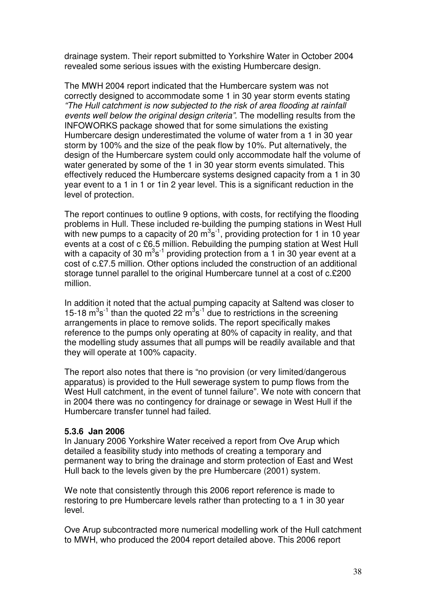drainage system. Their report submitted to Yorkshire Water in October 2004 revealed some serious issues with the existing Humbercare design.

The MWH 2004 report indicated that the Humbercare system was not correctly designed to accommodate some 1 in 30 year storm events stating "The Hull catchment is now subjected to the risk of area flooding at rainfall events well below the original design criteria". The modelling results from the INFOWORKS package showed that for some simulations the existing Humbercare design underestimated the volume of water from a 1 in 30 year storm by 100% and the size of the peak flow by 10%. Put alternatively, the design of the Humbercare system could only accommodate half the volume of water generated by some of the 1 in 30 year storm events simulated. This effectively reduced the Humbercare systems designed capacity from a 1 in 30 year event to a 1 in 1 or 1in 2 year level. This is a significant reduction in the level of protection.

The report continues to outline 9 options, with costs, for rectifying the flooding problems in Hull. These included re-building the pumping stations in West Hull with new pumps to a capacity of 20  $m^3s^{-1}$ , providing protection for 1 in 10 year events at a cost of c £6.5 million. Rebuilding the pumping station at West Hull with a capacity of 30  $m^3s^1$  providing protection from a 1 in 30 year event at a cost of c.£7.5 million. Other options included the construction of an additional storage tunnel parallel to the original Humbercare tunnel at a cost of c.£200 million.

In addition it noted that the actual pumping capacity at Saltend was closer to 15-18  $\text{m}^3\text{s}^{-1}$  than the quoted 22  $\text{m}^3\text{s}^{-1}$  due to restrictions in the screening arrangements in place to remove solids. The report specifically makes reference to the pumps only operating at 80% of capacity in reality, and that the modelling study assumes that all pumps will be readily available and that they will operate at 100% capacity.

The report also notes that there is "no provision (or very limited/dangerous apparatus) is provided to the Hull sewerage system to pump flows from the West Hull catchment, in the event of tunnel failure". We note with concern that in 2004 there was no contingency for drainage or sewage in West Hull if the Humbercare transfer tunnel had failed.

### **5.3.6 Jan 2006**

In January 2006 Yorkshire Water received a report from Ove Arup which detailed a feasibility study into methods of creating a temporary and permanent way to bring the drainage and storm protection of East and West Hull back to the levels given by the pre Humbercare (2001) system.

We note that consistently through this 2006 report reference is made to restoring to pre Humbercare levels rather than protecting to a 1 in 30 year level.

Ove Arup subcontracted more numerical modelling work of the Hull catchment to MWH, who produced the 2004 report detailed above. This 2006 report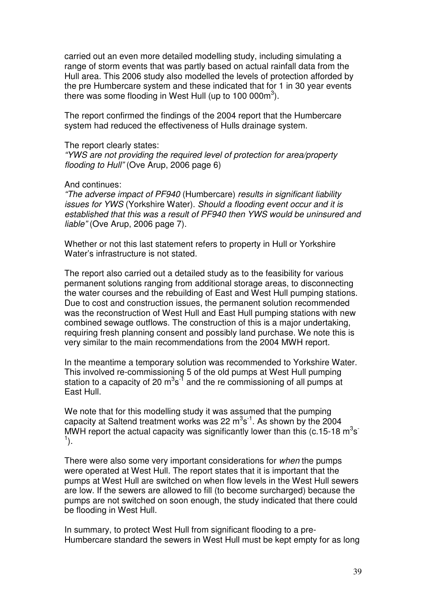carried out an even more detailed modelling study, including simulating a range of storm events that was partly based on actual rainfall data from the Hull area. This 2006 study also modelled the levels of protection afforded by the pre Humbercare system and these indicated that for 1 in 30 year events there was some flooding in West Hull (up to 100 000m<sup>3</sup>).

The report confirmed the findings of the 2004 report that the Humbercare system had reduced the effectiveness of Hulls drainage system.

### The report clearly states:

"YWS are not providing the required level of protection for area/property flooding to Hull" (Ove Arup, 2006 page 6)

### And continues:

"The adverse impact of PF940 (Humbercare) results in significant liability issues for YWS (Yorkshire Water). Should a flooding event occur and it is established that this was a result of PF940 then YWS would be uninsured and liable" (Ove Arup, 2006 page 7).

Whether or not this last statement refers to property in Hull or Yorkshire Water's infrastructure is not stated.

The report also carried out a detailed study as to the feasibility for various permanent solutions ranging from additional storage areas, to disconnecting the water courses and the rebuilding of East and West Hull pumping stations. Due to cost and construction issues, the permanent solution recommended was the reconstruction of West Hull and East Hull pumping stations with new combined sewage outflows. The construction of this is a major undertaking, requiring fresh planning consent and possibly land purchase. We note this is very similar to the main recommendations from the 2004 MWH report.

In the meantime a temporary solution was recommended to Yorkshire Water. This involved re-commissioning 5 of the old pumps at West Hull pumping station to a capacity of 20  $\text{m}^3\text{s}^{\text{-}1}$  and the re commissioning of all pumps at East Hull.

We note that for this modelling study it was assumed that the pumping capacity at Saltend treatment works was 22  $\text{m}^3\text{s}^{-1}$ . As shown by the 2004 MWH report the actual capacity was significantly lower than this (c.15-18  $\text{m}^3\text{s}$ )  $\left( \frac{1}{2} \right)$ .

There were also some very important considerations for when the pumps were operated at West Hull. The report states that it is important that the pumps at West Hull are switched on when flow levels in the West Hull sewers are low. If the sewers are allowed to fill (to become surcharged) because the pumps are not switched on soon enough, the study indicated that there could be flooding in West Hull.

In summary, to protect West Hull from significant flooding to a pre-Humbercare standard the sewers in West Hull must be kept empty for as long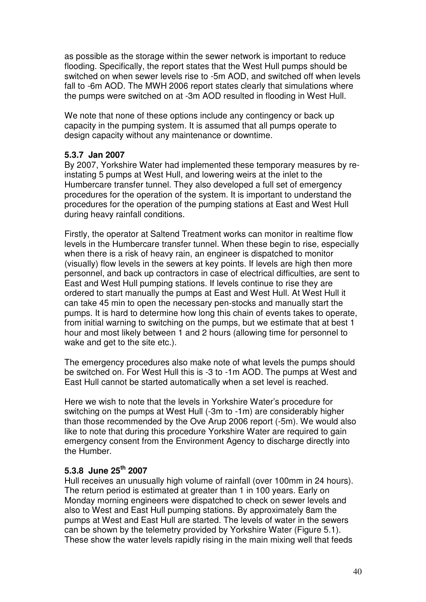as possible as the storage within the sewer network is important to reduce flooding. Specifically, the report states that the West Hull pumps should be switched on when sewer levels rise to -5m AOD, and switched off when levels fall to -6m AOD. The MWH 2006 report states clearly that simulations where the pumps were switched on at -3m AOD resulted in flooding in West Hull.

We note that none of these options include any contingency or back up capacity in the pumping system. It is assumed that all pumps operate to design capacity without any maintenance or downtime.

### **5.3.7 Jan 2007**

By 2007, Yorkshire Water had implemented these temporary measures by reinstating 5 pumps at West Hull, and lowering weirs at the inlet to the Humbercare transfer tunnel. They also developed a full set of emergency procedures for the operation of the system. It is important to understand the procedures for the operation of the pumping stations at East and West Hull during heavy rainfall conditions.

Firstly, the operator at Saltend Treatment works can monitor in realtime flow levels in the Humbercare transfer tunnel. When these begin to rise, especially when there is a risk of heavy rain, an engineer is dispatched to monitor (visually) flow levels in the sewers at key points. If levels are high then more personnel, and back up contractors in case of electrical difficulties, are sent to East and West Hull pumping stations. If levels continue to rise they are ordered to start manually the pumps at East and West Hull. At West Hull it can take 45 min to open the necessary pen-stocks and manually start the pumps. It is hard to determine how long this chain of events takes to operate, from initial warning to switching on the pumps, but we estimate that at best 1 hour and most likely between 1 and 2 hours (allowing time for personnel to wake and get to the site etc.).

The emergency procedures also make note of what levels the pumps should be switched on. For West Hull this is -3 to -1m AOD. The pumps at West and East Hull cannot be started automatically when a set level is reached.

Here we wish to note that the levels in Yorkshire Water's procedure for switching on the pumps at West Hull (-3m to -1m) are considerably higher than those recommended by the Ove Arup 2006 report (-5m). We would also like to note that during this procedure Yorkshire Water are required to gain emergency consent from the Environment Agency to discharge directly into the Humber.

# **5.3.8 June 25th 2007**

Hull receives an unusually high volume of rainfall (over 100mm in 24 hours). The return period is estimated at greater than 1 in 100 years. Early on Monday morning engineers were dispatched to check on sewer levels and also to West and East Hull pumping stations. By approximately 8am the pumps at West and East Hull are started. The levels of water in the sewers can be shown by the telemetry provided by Yorkshire Water (Figure 5.1). These show the water levels rapidly rising in the main mixing well that feeds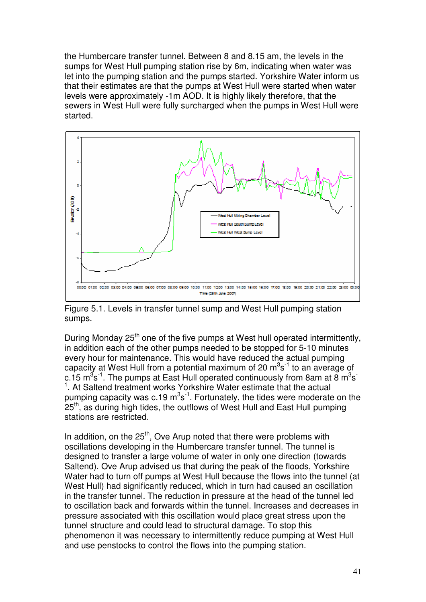the Humbercare transfer tunnel. Between 8 and 8.15 am, the levels in the sumps for West Hull pumping station rise by 6m, indicating when water was let into the pumping station and the pumps started. Yorkshire Water inform us that their estimates are that the pumps at West Hull were started when water levels were approximately -1m AOD. It is highly likely therefore, that the sewers in West Hull were fully surcharged when the pumps in West Hull were started.



Figure 5.1. Levels in transfer tunnel sump and West Hull pumping station sumps.

During Monday 25<sup>th</sup> one of the five pumps at West hull operated intermittently, in addition each of the other pumps needed to be stopped for 5-10 minutes every hour for maintenance. This would have reduced the actual pumping capacity at West Hull from a potential maximum of 20  $\mathrm{m}^3\mathrm{s}^{\text{-}1}$  to an average of c.15 m $^3$ s $^1$ . The pumps at East Hull operated continuously from 8am at 8 m $^3$ s $^1$ <sup>1</sup>. At Saltend treatment works Yorkshire Water estimate that the actual pumping capacity was c.19  $m^3s^{-1}$ . Fortunately, the tides were moderate on the 25<sup>th</sup>, as during high tides, the outflows of West Hull and East Hull pumping stations are restricted.

In addition, on the  $25<sup>th</sup>$ . Ove Arup noted that there were problems with oscillations developing in the Humbercare transfer tunnel. The tunnel is designed to transfer a large volume of water in only one direction (towards Saltend). Ove Arup advised us that during the peak of the floods, Yorkshire Water had to turn off pumps at West Hull because the flows into the tunnel (at West Hull) had significantly reduced, which in turn had caused an oscillation in the transfer tunnel. The reduction in pressure at the head of the tunnel led to oscillation back and forwards within the tunnel. Increases and decreases in pressure associated with this oscillation would place great stress upon the tunnel structure and could lead to structural damage. To stop this phenomenon it was necessary to intermittently reduce pumping at West Hull and use penstocks to control the flows into the pumping station.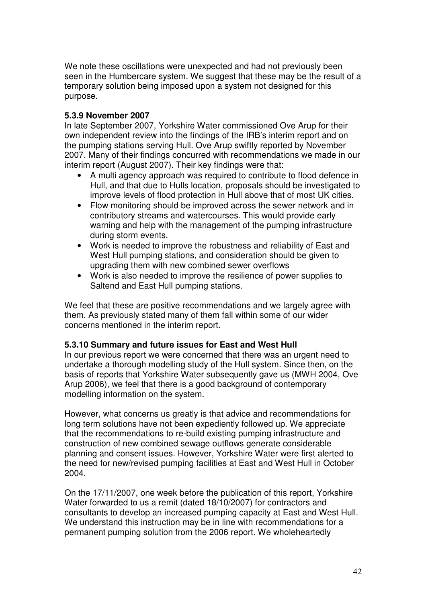We note these oscillations were unexpected and had not previously been seen in the Humbercare system. We suggest that these may be the result of a temporary solution being imposed upon a system not designed for this purpose.

# **5.3.9 November 2007**

In late September 2007, Yorkshire Water commissioned Ove Arup for their own independent review into the findings of the IRB's interim report and on the pumping stations serving Hull. Ove Arup swiftly reported by November 2007. Many of their findings concurred with recommendations we made in our interim report (August 2007). Their key findings were that:

- A multi agency approach was required to contribute to flood defence in Hull, and that due to Hulls location, proposals should be investigated to improve levels of flood protection in Hull above that of most UK cities.
- Flow monitoring should be improved across the sewer network and in contributory streams and watercourses. This would provide early warning and help with the management of the pumping infrastructure during storm events.
- Work is needed to improve the robustness and reliability of East and West Hull pumping stations, and consideration should be given to upgrading them with new combined sewer overflows
- Work is also needed to improve the resilience of power supplies to Saltend and East Hull pumping stations.

We feel that these are positive recommendations and we largely agree with them. As previously stated many of them fall within some of our wider concerns mentioned in the interim report.

### **5.3.10 Summary and future issues for East and West Hull**

In our previous report we were concerned that there was an urgent need to undertake a thorough modelling study of the Hull system. Since then, on the basis of reports that Yorkshire Water subsequently gave us (MWH 2004, Ove Arup 2006), we feel that there is a good background of contemporary modelling information on the system.

However, what concerns us greatly is that advice and recommendations for long term solutions have not been expediently followed up. We appreciate that the recommendations to re-build existing pumping infrastructure and construction of new combined sewage outflows generate considerable planning and consent issues. However, Yorkshire Water were first alerted to the need for new/revised pumping facilities at East and West Hull in October 2004.

On the 17/11/2007, one week before the publication of this report, Yorkshire Water forwarded to us a remit (dated 18/10/2007) for contractors and consultants to develop an increased pumping capacity at East and West Hull. We understand this instruction may be in line with recommendations for a permanent pumping solution from the 2006 report. We wholeheartedly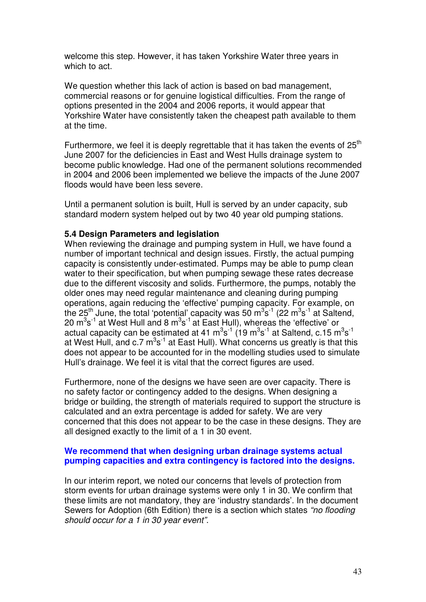welcome this step. However, it has taken Yorkshire Water three years in which to act.

We question whether this lack of action is based on bad management, commercial reasons or for genuine logistical difficulties. From the range of options presented in the 2004 and 2006 reports, it would appear that Yorkshire Water have consistently taken the cheapest path available to them at the time.

Furthermore, we feel it is deeply regrettable that it has taken the events of  $25<sup>th</sup>$ June 2007 for the deficiencies in East and West Hulls drainage system to become public knowledge. Had one of the permanent solutions recommended in 2004 and 2006 been implemented we believe the impacts of the June 2007 floods would have been less severe.

Until a permanent solution is built, Hull is served by an under capacity, sub standard modern system helped out by two 40 year old pumping stations.

### **5.4 Design Parameters and legislation**

When reviewing the drainage and pumping system in Hull, we have found a number of important technical and design issues. Firstly, the actual pumping capacity is consistently under-estimated. Pumps may be able to pump clean water to their specification, but when pumping sewage these rates decrease due to the different viscosity and solids. Furthermore, the pumps, notably the older ones may need regular maintenance and cleaning during pumping operations, again reducing the 'effective' pumping capacity. For example, on the 25<sup>th</sup> June, the total 'potential' capacity was 50 m<sup>3</sup>s<sup>-1</sup> (22 m<sup>3</sup>s<sup>-1</sup> at Saltend, 20  $\mathrm{m}^{3}\mathrm{s}^{-1}$  at West Hull and 8  $\mathrm{m}^{3}\mathrm{s}^{-1}$  at East Hull), whereas the 'effective' or actual capacity can be estimated at 41  $\text{m}^3\text{s}^{\text{-}1}$  (19  $\text{m}^3\text{s}^{\text{-}1}$  at Saltend, c.15  $\text{m}^3\text{s}^{\text{-}1}$ at West Hull, and c.7  $\text{m}^3\text{s}^{-1}$  at East Hull). What concerns us greatly is that this does not appear to be accounted for in the modelling studies used to simulate Hull's drainage. We feel it is vital that the correct figures are used.

Furthermore, none of the designs we have seen are over capacity. There is no safety factor or contingency added to the designs. When designing a bridge or building, the strength of materials required to support the structure is calculated and an extra percentage is added for safety. We are very concerned that this does not appear to be the case in these designs. They are all designed exactly to the limit of a 1 in 30 event.

### **We recommend that when designing urban drainage systems actual pumping capacities and extra contingency is factored into the designs.**

In our interim report, we noted our concerns that levels of protection from storm events for urban drainage systems were only 1 in 30. We confirm that these limits are not mandatory, they are 'industry standards'. In the document Sewers for Adoption (6th Edition) there is a section which states "no flooding should occur for a 1 in 30 year event".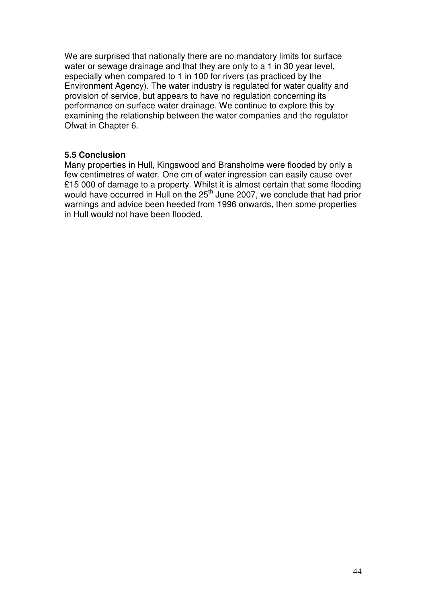We are surprised that nationally there are no mandatory limits for surface water or sewage drainage and that they are only to a 1 in 30 year level, especially when compared to 1 in 100 for rivers (as practiced by the Environment Agency). The water industry is regulated for water quality and provision of service, but appears to have no regulation concerning its performance on surface water drainage. We continue to explore this by examining the relationship between the water companies and the regulator Ofwat in Chapter 6.

### **5.5 Conclusion**

Many properties in Hull, Kingswood and Bransholme were flooded by only a few centimetres of water. One cm of water ingression can easily cause over £15 000 of damage to a property. Whilst it is almost certain that some flooding would have occurred in Hull on the 25<sup>th</sup> June 2007, we conclude that had prior warnings and advice been heeded from 1996 onwards, then some properties in Hull would not have been flooded.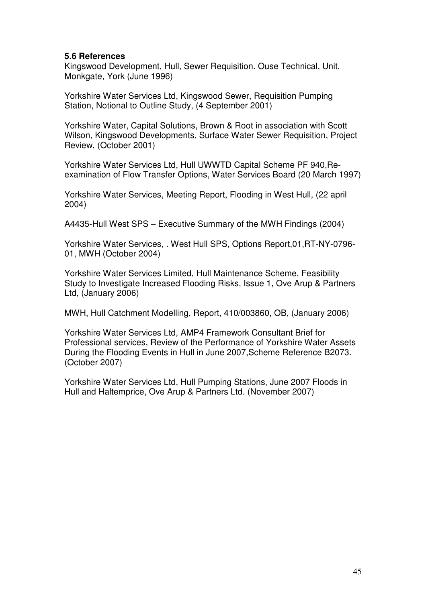### **5.6 References**

Kingswood Development, Hull, Sewer Requisition. Ouse Technical, Unit, Monkgate, York (June 1996)

Yorkshire Water Services Ltd, Kingswood Sewer, Requisition Pumping Station, Notional to Outline Study, (4 September 2001)

Yorkshire Water, Capital Solutions, Brown & Root in association with Scott Wilson, Kingswood Developments, Surface Water Sewer Requisition, Project Review, (October 2001)

Yorkshire Water Services Ltd, Hull UWWTD Capital Scheme PF 940,Reexamination of Flow Transfer Options, Water Services Board (20 March 1997)

Yorkshire Water Services, Meeting Report, Flooding in West Hull, (22 april 2004)

A4435-Hull West SPS – Executive Summary of the MWH Findings (2004)

Yorkshire Water Services, . West Hull SPS, Options Report,01,RT-NY-0796- 01, MWH (October 2004)

Yorkshire Water Services Limited, Hull Maintenance Scheme, Feasibility Study to Investigate Increased Flooding Risks, Issue 1, Ove Arup & Partners Ltd, (January 2006)

MWH, Hull Catchment Modelling, Report, 410/003860, OB, (January 2006)

Yorkshire Water Services Ltd, AMP4 Framework Consultant Brief for Professional services, Review of the Performance of Yorkshire Water Assets During the Flooding Events in Hull in June 2007,Scheme Reference B2073. (October 2007)

Yorkshire Water Services Ltd, Hull Pumping Stations, June 2007 Floods in Hull and Haltemprice, Ove Arup & Partners Ltd. (November 2007)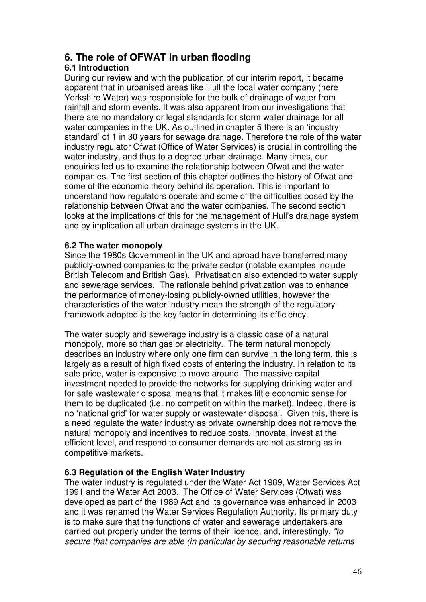# **6. The role of OFWAT in urban flooding**

# **6.1 Introduction**

During our review and with the publication of our interim report, it became apparent that in urbanised areas like Hull the local water company (here Yorkshire Water) was responsible for the bulk of drainage of water from rainfall and storm events. It was also apparent from our investigations that there are no mandatory or legal standards for storm water drainage for all water companies in the UK. As outlined in chapter 5 there is an 'industry standard' of 1 in 30 years for sewage drainage. Therefore the role of the water industry regulator Ofwat (Office of Water Services) is crucial in controlling the water industry, and thus to a degree urban drainage. Many times, our enquiries led us to examine the relationship between Ofwat and the water companies. The first section of this chapter outlines the history of Ofwat and some of the economic theory behind its operation. This is important to understand how regulators operate and some of the difficulties posed by the relationship between Ofwat and the water companies. The second section looks at the implications of this for the management of Hull's drainage system and by implication all urban drainage systems in the UK.

# **6.2 The water monopoly**

Since the 1980s Government in the UK and abroad have transferred many publicly-owned companies to the private sector (notable examples include British Telecom and British Gas). Privatisation also extended to water supply and sewerage services. The rationale behind privatization was to enhance the performance of money-losing publicly-owned utilities, however the characteristics of the water industry mean the strength of the regulatory framework adopted is the key factor in determining its efficiency.

The water supply and sewerage industry is a classic case of a natural monopoly, more so than gas or electricity. The term natural monopoly describes an industry where only one firm can survive in the long term, this is largely as a result of high fixed costs of entering the industry. In relation to its sale price, water is expensive to move around. The massive capital investment needed to provide the networks for supplying drinking water and for safe wastewater disposal means that it makes little economic sense for them to be duplicated (i.e. no competition within the market). Indeed, there is no 'national grid' for water supply or wastewater disposal. Given this, there is a need regulate the water industry as private ownership does not remove the natural monopoly and incentives to reduce costs, innovate, invest at the efficient level, and respond to consumer demands are not as strong as in competitive markets.

# **6.3 Regulation of the English Water Industry**

The water industry is regulated under the Water Act 1989, Water Services Act 1991 and the Water Act 2003. The Office of Water Services (Ofwat) was developed as part of the 1989 Act and its governance was enhanced in 2003 and it was renamed the Water Services Regulation Authority. Its primary duty is to make sure that the functions of water and sewerage undertakers are carried out properly under the terms of their licence, and, interestingly, "to secure that companies are able (in particular by securing reasonable returns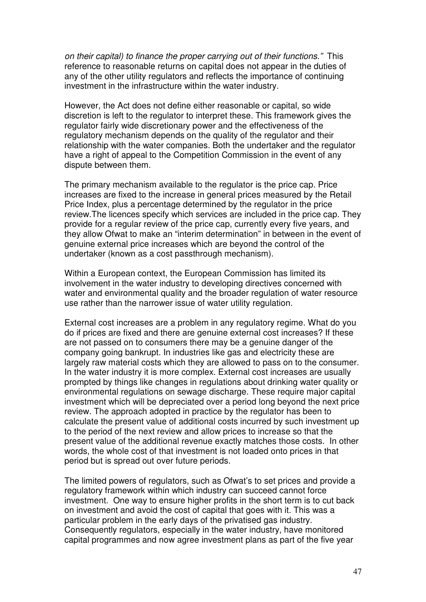on their capital) to finance the proper carrying out of their functions." This reference to reasonable returns on capital does not appear in the duties of any of the other utility regulators and reflects the importance of continuing investment in the infrastructure within the water industry.

However, the Act does not define either reasonable or capital, so wide discretion is left to the regulator to interpret these. This framework gives the regulator fairly wide discretionary power and the effectiveness of the regulatory mechanism depends on the quality of the regulator and their relationship with the water companies. Both the undertaker and the regulator have a right of appeal to the Competition Commission in the event of any dispute between them.

The primary mechanism available to the regulator is the price cap. Price increases are fixed to the increase in general prices measured by the Retail Price Index, plus a percentage determined by the regulator in the price review.The licences specify which services are included in the price cap. They provide for a regular review of the price cap, currently every five years, and they allow Ofwat to make an "interim determination" in between in the event of genuine external price increases which are beyond the control of the undertaker (known as a cost passthrough mechanism).

Within a European context, the European Commission has limited its involvement in the water industry to developing directives concerned with water and environmental quality and the broader regulation of water resource use rather than the narrower issue of water utility regulation.

External cost increases are a problem in any regulatory regime. What do you do if prices are fixed and there are genuine external cost increases? If these are not passed on to consumers there may be a genuine danger of the company going bankrupt. In industries like gas and electricity these are largely raw material costs which they are allowed to pass on to the consumer. In the water industry it is more complex. External cost increases are usually prompted by things like changes in regulations about drinking water quality or environmental regulations on sewage discharge. These require major capital investment which will be depreciated over a period long beyond the next price review. The approach adopted in practice by the regulator has been to calculate the present value of additional costs incurred by such investment up to the period of the next review and allow prices to increase so that the present value of the additional revenue exactly matches those costs. In other words, the whole cost of that investment is not loaded onto prices in that period but is spread out over future periods.

The limited powers of regulators, such as Ofwat's to set prices and provide a regulatory framework within which industry can succeed cannot force investment. One way to ensure higher profits in the short term is to cut back on investment and avoid the cost of capital that goes with it. This was a particular problem in the early days of the privatised gas industry. Consequently regulators, especially in the water industry, have monitored capital programmes and now agree investment plans as part of the five year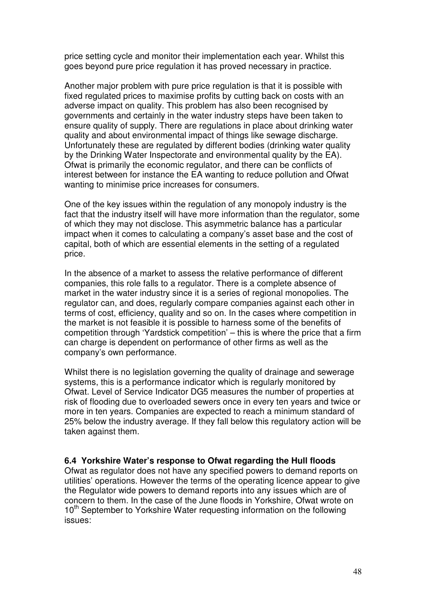price setting cycle and monitor their implementation each year. Whilst this goes beyond pure price regulation it has proved necessary in practice.

Another major problem with pure price regulation is that it is possible with fixed regulated prices to maximise profits by cutting back on costs with an adverse impact on quality. This problem has also been recognised by governments and certainly in the water industry steps have been taken to ensure quality of supply. There are regulations in place about drinking water quality and about environmental impact of things like sewage discharge. Unfortunately these are regulated by different bodies (drinking water quality by the Drinking Water Inspectorate and environmental quality by the EA). Ofwat is primarily the economic regulator, and there can be conflicts of interest between for instance the EA wanting to reduce pollution and Ofwat wanting to minimise price increases for consumers.

One of the key issues within the regulation of any monopoly industry is the fact that the industry itself will have more information than the regulator, some of which they may not disclose. This asymmetric balance has a particular impact when it comes to calculating a company's asset base and the cost of capital, both of which are essential elements in the setting of a regulated price.

In the absence of a market to assess the relative performance of different companies, this role falls to a regulator. There is a complete absence of market in the water industry since it is a series of regional monopolies. The regulator can, and does, regularly compare companies against each other in terms of cost, efficiency, quality and so on. In the cases where competition in the market is not feasible it is possible to harness some of the benefits of competition through 'Yardstick competition' – this is where the price that a firm can charge is dependent on performance of other firms as well as the company's own performance.

Whilst there is no legislation governing the quality of drainage and sewerage systems, this is a performance indicator which is regularly monitored by Ofwat. Level of Service Indicator DG5 measures the number of properties at risk of flooding due to overloaded sewers once in every ten years and twice or more in ten years. Companies are expected to reach a minimum standard of 25% below the industry average. If they fall below this regulatory action will be taken against them.

### **6.4 Yorkshire Water's response to Ofwat regarding the Hull floods**

Ofwat as regulator does not have any specified powers to demand reports on utilities' operations. However the terms of the operating licence appear to give the Regulator wide powers to demand reports into any issues which are of concern to them. In the case of the June floods in Yorkshire, Ofwat wrote on 10<sup>th</sup> September to Yorkshire Water requesting information on the following issues: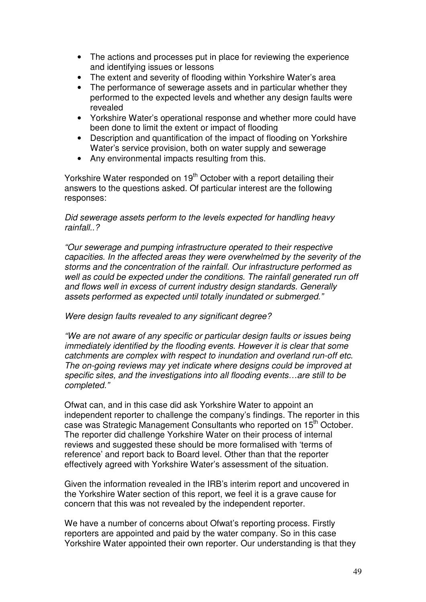- The actions and processes put in place for reviewing the experience and identifying issues or lessons
- The extent and severity of flooding within Yorkshire Water's area
- The performance of sewerage assets and in particular whether they performed to the expected levels and whether any design faults were revealed
- Yorkshire Water's operational response and whether more could have been done to limit the extent or impact of flooding
- Description and quantification of the impact of flooding on Yorkshire Water's service provision, both on water supply and sewerage
- Any environmental impacts resulting from this.

Yorkshire Water responded on 19<sup>th</sup> October with a report detailing their answers to the questions asked. Of particular interest are the following responses:

### Did sewerage assets perform to the levels expected for handling heavy rainfall..?

"Our sewerage and pumping infrastructure operated to their respective capacities. In the affected areas they were overwhelmed by the severity of the storms and the concentration of the rainfall. Our infrastructure performed as well as could be expected under the conditions. The rainfall generated run off and flows well in excess of current industry design standards. Generally assets performed as expected until totally inundated or submerged."

### Were design faults revealed to any significant degree?

"We are not aware of any specific or particular design faults or issues being immediately identified by the flooding events. However it is clear that some catchments are complex with respect to inundation and overland run-off etc. The on-going reviews may yet indicate where designs could be improved at specific sites, and the investigations into all flooding events…are still to be completed."

Ofwat can, and in this case did ask Yorkshire Water to appoint an independent reporter to challenge the company's findings. The reporter in this case was Strategic Management Consultants who reported on 15th October. The reporter did challenge Yorkshire Water on their process of internal reviews and suggested these should be more formalised with 'terms of reference' and report back to Board level. Other than that the reporter effectively agreed with Yorkshire Water's assessment of the situation.

Given the information revealed in the IRB's interim report and uncovered in the Yorkshire Water section of this report, we feel it is a grave cause for concern that this was not revealed by the independent reporter.

We have a number of concerns about Ofwat's reporting process. Firstly reporters are appointed and paid by the water company. So in this case Yorkshire Water appointed their own reporter. Our understanding is that they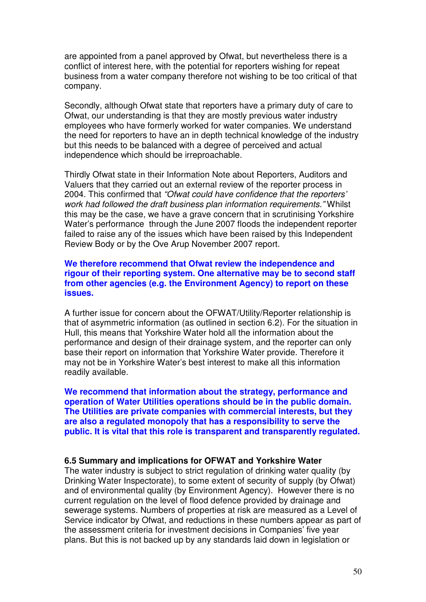are appointed from a panel approved by Ofwat, but nevertheless there is a conflict of interest here, with the potential for reporters wishing for repeat business from a water company therefore not wishing to be too critical of that company.

Secondly, although Ofwat state that reporters have a primary duty of care to Ofwat, our understanding is that they are mostly previous water industry employees who have formerly worked for water companies. We understand the need for reporters to have an in depth technical knowledge of the industry but this needs to be balanced with a degree of perceived and actual independence which should be irreproachable.

Thirdly Ofwat state in their Information Note about Reporters, Auditors and Valuers that they carried out an external review of the reporter process in 2004. This confirmed that "Ofwat could have confidence that the reporters' work had followed the draft business plan information requirements." Whilst this may be the case, we have a grave concern that in scrutinising Yorkshire Water's performance through the June 2007 floods the independent reporter failed to raise any of the issues which have been raised by this Independent Review Body or by the Ove Arup November 2007 report.

### **We therefore recommend that Ofwat review the independence and rigour of their reporting system. One alternative may be to second staff from other agencies (e.g. the Environment Agency) to report on these issues.**

A further issue for concern about the OFWAT/Utility/Reporter relationship is that of asymmetric information (as outlined in section 6.2). For the situation in Hull, this means that Yorkshire Water hold all the information about the performance and design of their drainage system, and the reporter can only base their report on information that Yorkshire Water provide. Therefore it may not be in Yorkshire Water's best interest to make all this information readily available.

**We recommend that information about the strategy, performance and operation of Water Utilities operations should be in the public domain. The Utilities are private companies with commercial interests, but they are also a regulated monopoly that has a responsibility to serve the public. It is vital that this role is transparent and transparently regulated.** 

### **6.5 Summary and implications for OFWAT and Yorkshire Water**

The water industry is subject to strict regulation of drinking water quality (by Drinking Water Inspectorate), to some extent of security of supply (by Ofwat) and of environmental quality (by Environment Agency). However there is no current regulation on the level of flood defence provided by drainage and sewerage systems. Numbers of properties at risk are measured as a Level of Service indicator by Ofwat, and reductions in these numbers appear as part of the assessment criteria for investment decisions in Companies' five year plans. But this is not backed up by any standards laid down in legislation or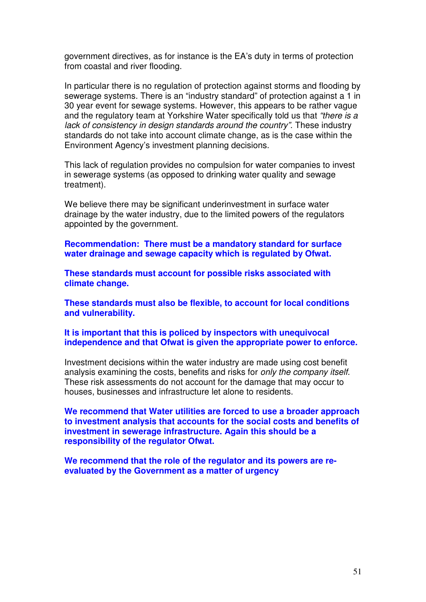government directives, as for instance is the EA's duty in terms of protection from coastal and river flooding.

In particular there is no regulation of protection against storms and flooding by sewerage systems. There is an "industry standard" of protection against a 1 in 30 year event for sewage systems. However, this appears to be rather vague and the regulatory team at Yorkshire Water specifically told us that "there is a lack of consistency in design standards around the country". These industry standards do not take into account climate change, as is the case within the Environment Agency's investment planning decisions.

This lack of regulation provides no compulsion for water companies to invest in sewerage systems (as opposed to drinking water quality and sewage treatment).

We believe there may be significant underinvestment in surface water drainage by the water industry, due to the limited powers of the regulators appointed by the government.

**Recommendation: There must be a mandatory standard for surface water drainage and sewage capacity which is regulated by Ofwat.** 

**These standards must account for possible risks associated with climate change.** 

**These standards must also be flexible, to account for local conditions and vulnerability.** 

### **It is important that this is policed by inspectors with unequivocal independence and that Ofwat is given the appropriate power to enforce.**

Investment decisions within the water industry are made using cost benefit analysis examining the costs, benefits and risks for only the company itself. These risk assessments do not account for the damage that may occur to houses, businesses and infrastructure let alone to residents.

**We recommend that Water utilities are forced to use a broader approach to investment analysis that accounts for the social costs and benefits of investment in sewerage infrastructure. Again this should be a responsibility of the regulator Ofwat.** 

**We recommend that the role of the regulator and its powers are reevaluated by the Government as a matter of urgency**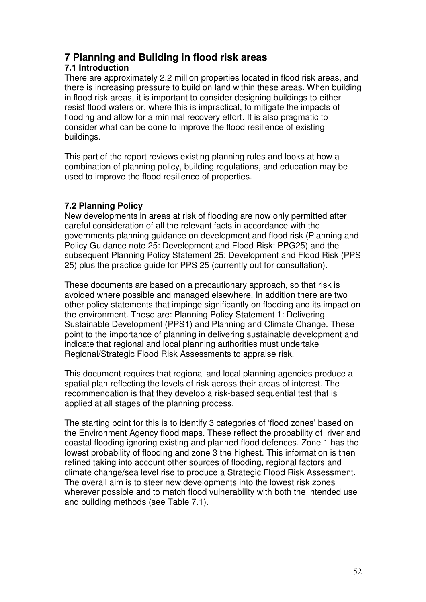# **7 Planning and Building in flood risk areas**

# **7.1 Introduction**

There are approximately 2.2 million properties located in flood risk areas, and there is increasing pressure to build on land within these areas. When building in flood risk areas, it is important to consider designing buildings to either resist flood waters or, where this is impractical, to mitigate the impacts of flooding and allow for a minimal recovery effort. It is also pragmatic to consider what can be done to improve the flood resilience of existing buildings.

This part of the report reviews existing planning rules and looks at how a combination of planning policy, building regulations, and education may be used to improve the flood resilience of properties.

# **7.2 Planning Policy**

New developments in areas at risk of flooding are now only permitted after careful consideration of all the relevant facts in accordance with the governments planning guidance on development and flood risk (Planning and Policy Guidance note 25: Development and Flood Risk: PPG25) and the subsequent Planning Policy Statement 25: Development and Flood Risk (PPS 25) plus the practice guide for PPS 25 (currently out for consultation).

These documents are based on a precautionary approach, so that risk is avoided where possible and managed elsewhere. In addition there are two other policy statements that impinge significantly on flooding and its impact on the environment. These are: Planning Policy Statement 1: Delivering Sustainable Development (PPS1) and Planning and Climate Change. These point to the importance of planning in delivering sustainable development and indicate that regional and local planning authorities must undertake Regional/Strategic Flood Risk Assessments to appraise risk.

This document requires that regional and local planning agencies produce a spatial plan reflecting the levels of risk across their areas of interest. The recommendation is that they develop a risk-based sequential test that is applied at all stages of the planning process.

The starting point for this is to identify 3 categories of 'flood zones' based on the Environment Agency flood maps. These reflect the probability of river and coastal flooding ignoring existing and planned flood defences. Zone 1 has the lowest probability of flooding and zone 3 the highest. This information is then refined taking into account other sources of flooding, regional factors and climate change/sea level rise to produce a Strategic Flood Risk Assessment. The overall aim is to steer new developments into the lowest risk zones wherever possible and to match flood vulnerability with both the intended use and building methods (see Table 7.1).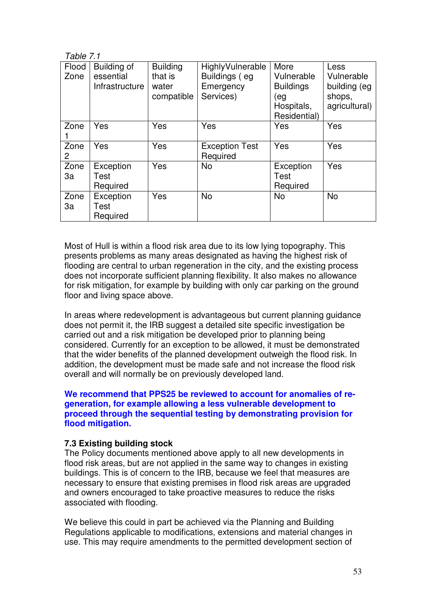| Table 7.1     |                                                   |                                                   |                                                             |                                                                             |                                                               |  |
|---------------|---------------------------------------------------|---------------------------------------------------|-------------------------------------------------------------|-----------------------------------------------------------------------------|---------------------------------------------------------------|--|
| Flood<br>Zone | Building of<br>essential<br><b>Infrastructure</b> | <b>Building</b><br>that is<br>water<br>compatible | HighlyVulnerable<br>Buildings (eg<br>Emergency<br>Services) | More<br>Vulnerable<br><b>Buildings</b><br>(eg<br>Hospitals,<br>Residential) | Less<br>Vulnerable<br>building (eg<br>shops,<br>agricultural) |  |
| Zone          | Yes                                               | Yes                                               | Yes                                                         | Yes                                                                         | Yes                                                           |  |
| Zone<br>2     | Yes                                               | Yes                                               | <b>Exception Test</b><br>Required                           | Yes                                                                         | Yes                                                           |  |
| Zone<br>3a    | Exception<br>Test<br>Required                     | Yes                                               | <b>No</b>                                                   | Exception<br>Test<br>Required                                               | Yes                                                           |  |
| Zone<br>За    | Exception<br>Test<br>Required                     | Yes                                               | <b>No</b>                                                   | <b>No</b>                                                                   | <b>No</b>                                                     |  |

Most of Hull is within a flood risk area due to its low lying topography. This presents problems as many areas designated as having the highest risk of flooding are central to urban regeneration in the city, and the existing process does not incorporate sufficient planning flexibility. It also makes no allowance for risk mitigation, for example by building with only car parking on the ground floor and living space above.

In areas where redevelopment is advantageous but current planning guidance does not permit it, the IRB suggest a detailed site specific investigation be carried out and a risk mitigation be developed prior to planning being considered. Currently for an exception to be allowed, it must be demonstrated that the wider benefits of the planned development outweigh the flood risk. In addition, the development must be made safe and not increase the flood risk overall and will normally be on previously developed land.

### **We recommend that PPS25 be reviewed to account for anomalies of regeneration, for example allowing a less vulnerable development to proceed through the sequential testing by demonstrating provision for flood mitigation.**

### **7.3 Existing building stock**

The Policy documents mentioned above apply to all new developments in flood risk areas, but are not applied in the same way to changes in existing buildings. This is of concern to the IRB, because we feel that measures are necessary to ensure that existing premises in flood risk areas are upgraded and owners encouraged to take proactive measures to reduce the risks associated with flooding.

We believe this could in part be achieved via the Planning and Building Regulations applicable to modifications, extensions and material changes in use. This may require amendments to the permitted development section of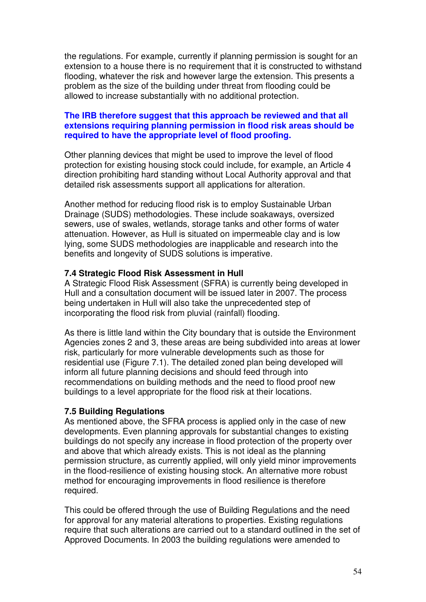the regulations. For example, currently if planning permission is sought for an extension to a house there is no requirement that it is constructed to withstand flooding, whatever the risk and however large the extension. This presents a problem as the size of the building under threat from flooding could be allowed to increase substantially with no additional protection.

### **The IRB therefore suggest that this approach be reviewed and that all extensions requiring planning permission in flood risk areas should be required to have the appropriate level of flood proofing.**

Other planning devices that might be used to improve the level of flood protection for existing housing stock could include, for example, an Article 4 direction prohibiting hard standing without Local Authority approval and that detailed risk assessments support all applications for alteration.

Another method for reducing flood risk is to employ Sustainable Urban Drainage (SUDS) methodologies. These include soakaways, oversized sewers, use of swales, wetlands, storage tanks and other forms of water attenuation. However, as Hull is situated on impermeable clay and is low lying, some SUDS methodologies are inapplicable and research into the benefits and longevity of SUDS solutions is imperative.

### **7.4 Strategic Flood Risk Assessment in Hull**

A Strategic Flood Risk Assessment (SFRA) is currently being developed in Hull and a consultation document will be issued later in 2007. The process being undertaken in Hull will also take the unprecedented step of incorporating the flood risk from pluvial (rainfall) flooding.

As there is little land within the City boundary that is outside the Environment Agencies zones 2 and 3, these areas are being subdivided into areas at lower risk, particularly for more vulnerable developments such as those for residential use (Figure 7.1). The detailed zoned plan being developed will inform all future planning decisions and should feed through into recommendations on building methods and the need to flood proof new buildings to a level appropriate for the flood risk at their locations.

# **7.5 Building Regulations**

As mentioned above, the SFRA process is applied only in the case of new developments. Even planning approvals for substantial changes to existing buildings do not specify any increase in flood protection of the property over and above that which already exists. This is not ideal as the planning permission structure, as currently applied, will only yield minor improvements in the flood-resilience of existing housing stock. An alternative more robust method for encouraging improvements in flood resilience is therefore required.

This could be offered through the use of Building Regulations and the need for approval for any material alterations to properties. Existing regulations require that such alterations are carried out to a standard outlined in the set of Approved Documents. In 2003 the building regulations were amended to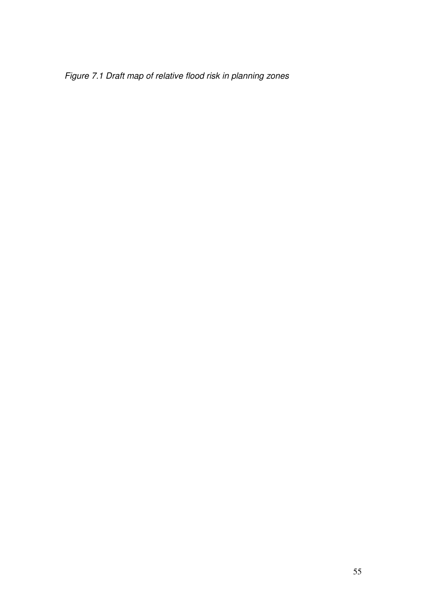Figure 7.1 Draft map of relative flood risk in planning zones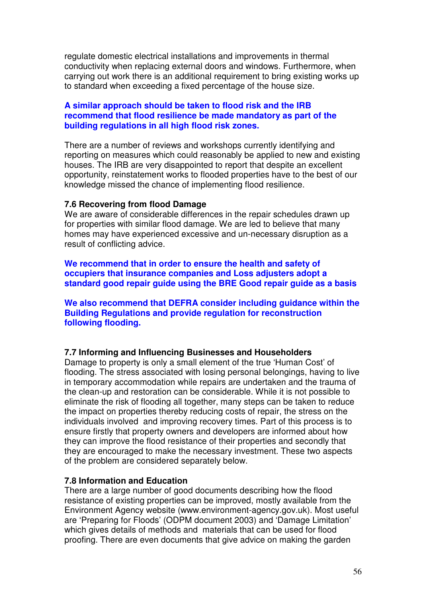regulate domestic electrical installations and improvements in thermal conductivity when replacing external doors and windows. Furthermore, when carrying out work there is an additional requirement to bring existing works up to standard when exceeding a fixed percentage of the house size.

### **A similar approach should be taken to flood risk and the IRB recommend that flood resilience be made mandatory as part of the building regulations in all high flood risk zones.**

There are a number of reviews and workshops currently identifying and reporting on measures which could reasonably be applied to new and existing houses. The IRB are very disappointed to report that despite an excellent opportunity, reinstatement works to flooded properties have to the best of our knowledge missed the chance of implementing flood resilience.

#### **7.6 Recovering from flood Damage**

We are aware of considerable differences in the repair schedules drawn up for properties with similar flood damage. We are led to believe that many homes may have experienced excessive and un-necessary disruption as a result of conflicting advice.

**We recommend that in order to ensure the health and safety of occupiers that insurance companies and Loss adjusters adopt a standard good repair guide using the BRE Good repair guide as a basis** 

**We also recommend that DEFRA consider including guidance within the Building Regulations and provide regulation for reconstruction following flooding.** 

#### **7.7 Informing and Influencing Businesses and Householders**

Damage to property is only a small element of the true 'Human Cost' of flooding. The stress associated with losing personal belongings, having to live in temporary accommodation while repairs are undertaken and the trauma of the clean-up and restoration can be considerable. While it is not possible to eliminate the risk of flooding all together, many steps can be taken to reduce the impact on properties thereby reducing costs of repair, the stress on the individuals involved and improving recovery times. Part of this process is to ensure firstly that property owners and developers are informed about how they can improve the flood resistance of their properties and secondly that they are encouraged to make the necessary investment. These two aspects of the problem are considered separately below.

### **7.8 Information and Education**

There are a large number of good documents describing how the flood resistance of existing properties can be improved, mostly available from the Environment Agency website (www.environment-agency.gov.uk). Most useful are 'Preparing for Floods' (ODPM document 2003) and 'Damage Limitation' which gives details of methods and materials that can be used for flood proofing. There are even documents that give advice on making the garden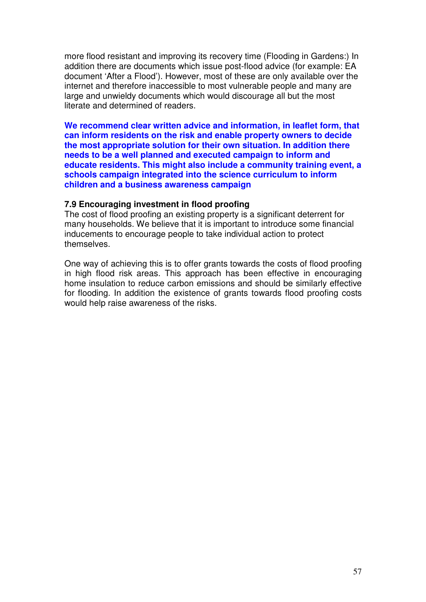more flood resistant and improving its recovery time (Flooding in Gardens:) In addition there are documents which issue post-flood advice (for example: EA document 'After a Flood'). However, most of these are only available over the internet and therefore inaccessible to most vulnerable people and many are large and unwieldy documents which would discourage all but the most literate and determined of readers.

**We recommend clear written advice and information, in leaflet form, that can inform residents on the risk and enable property owners to decide the most appropriate solution for their own situation. In addition there needs to be a well planned and executed campaign to inform and educate residents. This might also include a community training event, a schools campaign integrated into the science curriculum to inform children and a business awareness campaign** 

#### **7.9 Encouraging investment in flood proofing**

The cost of flood proofing an existing property is a significant deterrent for many households. We believe that it is important to introduce some financial inducements to encourage people to take individual action to protect themselves.

One way of achieving this is to offer grants towards the costs of flood proofing in high flood risk areas. This approach has been effective in encouraging home insulation to reduce carbon emissions and should be similarly effective for flooding. In addition the existence of grants towards flood proofing costs would help raise awareness of the risks.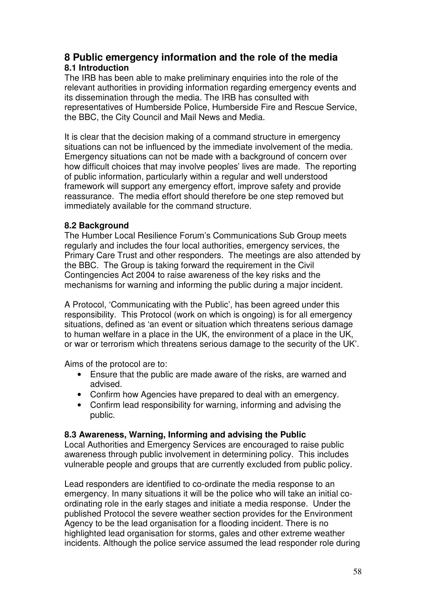# **8 Public emergency information and the role of the media 8.1 Introduction**

The IRB has been able to make preliminary enquiries into the role of the relevant authorities in providing information regarding emergency events and its dissemination through the media. The IRB has consulted with representatives of Humberside Police, Humberside Fire and Rescue Service, the BBC, the City Council and Mail News and Media.

It is clear that the decision making of a command structure in emergency situations can not be influenced by the immediate involvement of the media. Emergency situations can not be made with a background of concern over how difficult choices that may involve peoples' lives are made. The reporting of public information, particularly within a regular and well understood framework will support any emergency effort, improve safety and provide reassurance. The media effort should therefore be one step removed but immediately available for the command structure.

# **8.2 Background**

The Humber Local Resilience Forum's Communications Sub Group meets regularly and includes the four local authorities, emergency services, the Primary Care Trust and other responders. The meetings are also attended by the BBC. The Group is taking forward the requirement in the Civil Contingencies Act 2004 to raise awareness of the key risks and the mechanisms for warning and informing the public during a major incident.

A Protocol, 'Communicating with the Public', has been agreed under this responsibility. This Protocol (work on which is ongoing) is for all emergency situations, defined as 'an event or situation which threatens serious damage to human welfare in a place in the UK, the environment of a place in the UK, or war or terrorism which threatens serious damage to the security of the UK'.

Aims of the protocol are to:

- Ensure that the public are made aware of the risks, are warned and advised.
- Confirm how Agencies have prepared to deal with an emergency.
- Confirm lead responsibility for warning, informing and advising the public.

### **8.3 Awareness, Warning, Informing and advising the Public**

Local Authorities and Emergency Services are encouraged to raise public awareness through public involvement in determining policy. This includes vulnerable people and groups that are currently excluded from public policy.

Lead responders are identified to co-ordinate the media response to an emergency. In many situations it will be the police who will take an initial coordinating role in the early stages and initiate a media response. Under the published Protocol the severe weather section provides for the Environment Agency to be the lead organisation for a flooding incident. There is no highlighted lead organisation for storms, gales and other extreme weather incidents. Although the police service assumed the lead responder role during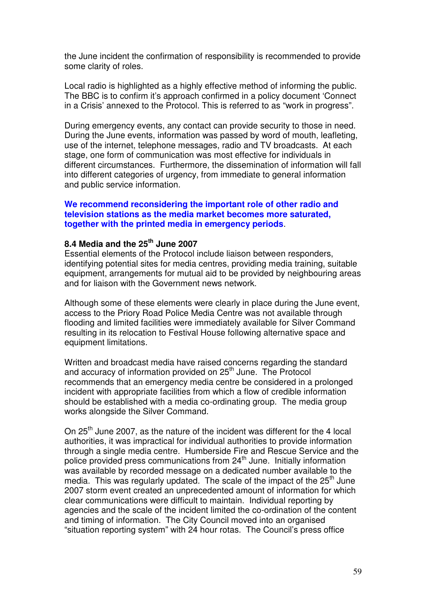the June incident the confirmation of responsibility is recommended to provide some clarity of roles.

Local radio is highlighted as a highly effective method of informing the public. The BBC is to confirm it's approach confirmed in a policy document 'Connect in a Crisis' annexed to the Protocol. This is referred to as "work in progress".

During emergency events, any contact can provide security to those in need. During the June events, information was passed by word of mouth, leafleting, use of the internet, telephone messages, radio and TV broadcasts. At each stage, one form of communication was most effective for individuals in different circumstances. Furthermore, the dissemination of information will fall into different categories of urgency, from immediate to general information and public service information.

### **We recommend reconsidering the important role of other radio and television stations as the media market becomes more saturated, together with the printed media in emergency periods**.

### **8.4 Media and the 25th June 2007**

Essential elements of the Protocol include liaison between responders, identifying potential sites for media centres, providing media training, suitable equipment, arrangements for mutual aid to be provided by neighbouring areas and for liaison with the Government news network.

Although some of these elements were clearly in place during the June event, access to the Priory Road Police Media Centre was not available through flooding and limited facilities were immediately available for Silver Command resulting in its relocation to Festival House following alternative space and equipment limitations.

Written and broadcast media have raised concerns regarding the standard and accuracy of information provided on 25<sup>th</sup> June. The Protocol recommends that an emergency media centre be considered in a prolonged incident with appropriate facilities from which a flow of credible information should be established with a media co-ordinating group. The media group works alongside the Silver Command.

On 25<sup>th</sup> June 2007, as the nature of the incident was different for the 4 local authorities, it was impractical for individual authorities to provide information through a single media centre. Humberside Fire and Rescue Service and the police provided press communications from 24<sup>th</sup> June. Initially information was available by recorded message on a dedicated number available to the media. This was regularly updated. The scale of the impact of the  $25<sup>th</sup>$  June 2007 storm event created an unprecedented amount of information for which clear communications were difficult to maintain. Individual reporting by agencies and the scale of the incident limited the co-ordination of the content and timing of information. The City Council moved into an organised "situation reporting system" with 24 hour rotas. The Council's press office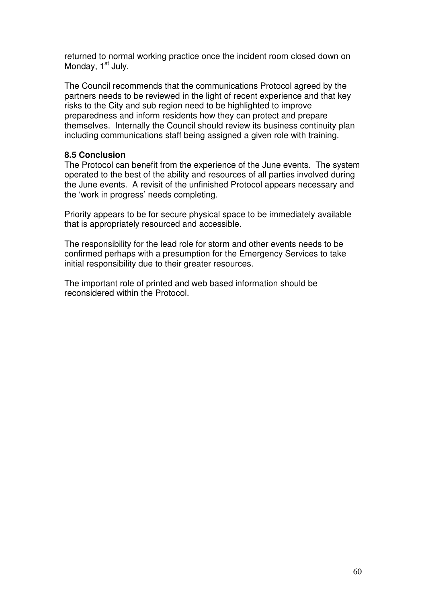returned to normal working practice once the incident room closed down on Monday, 1<sup>st</sup> July.

The Council recommends that the communications Protocol agreed by the partners needs to be reviewed in the light of recent experience and that key risks to the City and sub region need to be highlighted to improve preparedness and inform residents how they can protect and prepare themselves. Internally the Council should review its business continuity plan including communications staff being assigned a given role with training.

### **8.5 Conclusion**

The Protocol can benefit from the experience of the June events. The system operated to the best of the ability and resources of all parties involved during the June events. A revisit of the unfinished Protocol appears necessary and the 'work in progress' needs completing.

Priority appears to be for secure physical space to be immediately available that is appropriately resourced and accessible.

The responsibility for the lead role for storm and other events needs to be confirmed perhaps with a presumption for the Emergency Services to take initial responsibility due to their greater resources.

The important role of printed and web based information should be reconsidered within the Protocol.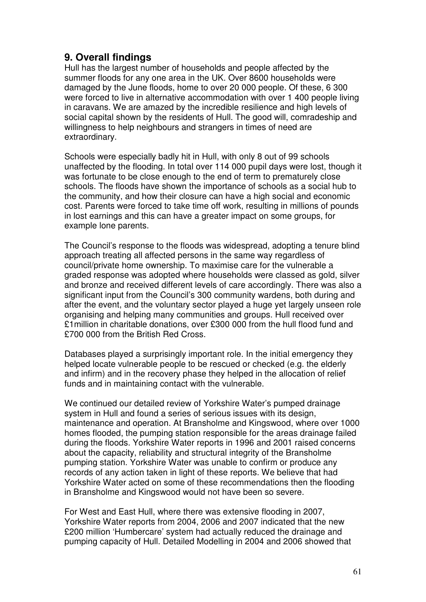# **9. Overall findings**

Hull has the largest number of households and people affected by the summer floods for any one area in the UK. Over 8600 households were damaged by the June floods, home to over 20 000 people. Of these, 6 300 were forced to live in alternative accommodation with over 1 400 people living in caravans. We are amazed by the incredible resilience and high levels of social capital shown by the residents of Hull. The good will, comradeship and willingness to help neighbours and strangers in times of need are extraordinary.

Schools were especially badly hit in Hull, with only 8 out of 99 schools unaffected by the flooding. In total over 114 000 pupil days were lost, though it was fortunate to be close enough to the end of term to prematurely close schools. The floods have shown the importance of schools as a social hub to the community, and how their closure can have a high social and economic cost. Parents were forced to take time off work, resulting in millions of pounds in lost earnings and this can have a greater impact on some groups, for example lone parents.

The Council's response to the floods was widespread, adopting a tenure blind approach treating all affected persons in the same way regardless of council/private home ownership. To maximise care for the vulnerable a graded response was adopted where households were classed as gold, silver and bronze and received different levels of care accordingly. There was also a significant input from the Council's 300 community wardens, both during and after the event, and the voluntary sector played a huge yet largely unseen role organising and helping many communities and groups. Hull received over £1million in charitable donations, over £300 000 from the hull flood fund and £700 000 from the British Red Cross.

Databases played a surprisingly important role. In the initial emergency they helped locate vulnerable people to be rescued or checked (e.g. the elderly and infirm) and in the recovery phase they helped in the allocation of relief funds and in maintaining contact with the vulnerable.

We continued our detailed review of Yorkshire Water's pumped drainage system in Hull and found a series of serious issues with its design. maintenance and operation. At Bransholme and Kingswood, where over 1000 homes flooded, the pumping station responsible for the areas drainage failed during the floods. Yorkshire Water reports in 1996 and 2001 raised concerns about the capacity, reliability and structural integrity of the Bransholme pumping station. Yorkshire Water was unable to confirm or produce any records of any action taken in light of these reports. We believe that had Yorkshire Water acted on some of these recommendations then the flooding in Bransholme and Kingswood would not have been so severe.

For West and East Hull, where there was extensive flooding in 2007, Yorkshire Water reports from 2004, 2006 and 2007 indicated that the new £200 million 'Humbercare' system had actually reduced the drainage and pumping capacity of Hull. Detailed Modelling in 2004 and 2006 showed that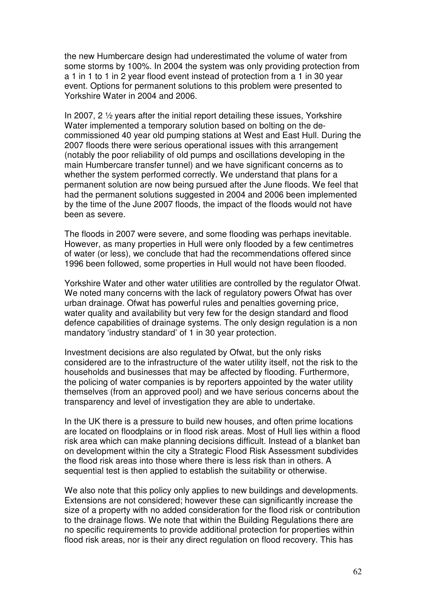the new Humbercare design had underestimated the volume of water from some storms by 100%. In 2004 the system was only providing protection from a 1 in 1 to 1 in 2 year flood event instead of protection from a 1 in 30 year event. Options for permanent solutions to this problem were presented to Yorkshire Water in 2004 and 2006.

In 2007, 2 ½ years after the initial report detailing these issues, Yorkshire Water implemented a temporary solution based on bolting on the decommissioned 40 year old pumping stations at West and East Hull. During the 2007 floods there were serious operational issues with this arrangement (notably the poor reliability of old pumps and oscillations developing in the main Humbercare transfer tunnel) and we have significant concerns as to whether the system performed correctly. We understand that plans for a permanent solution are now being pursued after the June floods. We feel that had the permanent solutions suggested in 2004 and 2006 been implemented by the time of the June 2007 floods, the impact of the floods would not have been as severe.

The floods in 2007 were severe, and some flooding was perhaps inevitable. However, as many properties in Hull were only flooded by a few centimetres of water (or less), we conclude that had the recommendations offered since 1996 been followed, some properties in Hull would not have been flooded.

Yorkshire Water and other water utilities are controlled by the regulator Ofwat. We noted many concerns with the lack of regulatory powers Ofwat has over urban drainage. Ofwat has powerful rules and penalties governing price, water quality and availability but very few for the design standard and flood defence capabilities of drainage systems. The only design regulation is a non mandatory 'industry standard' of 1 in 30 year protection.

Investment decisions are also regulated by Ofwat, but the only risks considered are to the infrastructure of the water utility itself, not the risk to the households and businesses that may be affected by flooding. Furthermore, the policing of water companies is by reporters appointed by the water utility themselves (from an approved pool) and we have serious concerns about the transparency and level of investigation they are able to undertake.

In the UK there is a pressure to build new houses, and often prime locations are located on floodplains or in flood risk areas. Most of Hull lies within a flood risk area which can make planning decisions difficult. Instead of a blanket ban on development within the city a Strategic Flood Risk Assessment subdivides the flood risk areas into those where there is less risk than in others. A sequential test is then applied to establish the suitability or otherwise.

We also note that this policy only applies to new buildings and developments. Extensions are not considered; however these can significantly increase the size of a property with no added consideration for the flood risk or contribution to the drainage flows. We note that within the Building Regulations there are no specific requirements to provide additional protection for properties within flood risk areas, nor is their any direct regulation on flood recovery. This has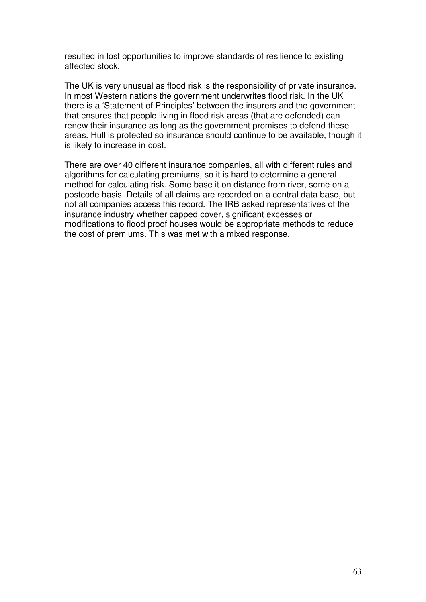resulted in lost opportunities to improve standards of resilience to existing affected stock.

The UK is very unusual as flood risk is the responsibility of private insurance. In most Western nations the government underwrites flood risk. In the UK there is a 'Statement of Principles' between the insurers and the government that ensures that people living in flood risk areas (that are defended) can renew their insurance as long as the government promises to defend these areas. Hull is protected so insurance should continue to be available, though it is likely to increase in cost.

There are over 40 different insurance companies, all with different rules and algorithms for calculating premiums, so it is hard to determine a general method for calculating risk. Some base it on distance from river, some on a postcode basis. Details of all claims are recorded on a central data base, but not all companies access this record. The IRB asked representatives of the insurance industry whether capped cover, significant excesses or modifications to flood proof houses would be appropriate methods to reduce the cost of premiums. This was met with a mixed response.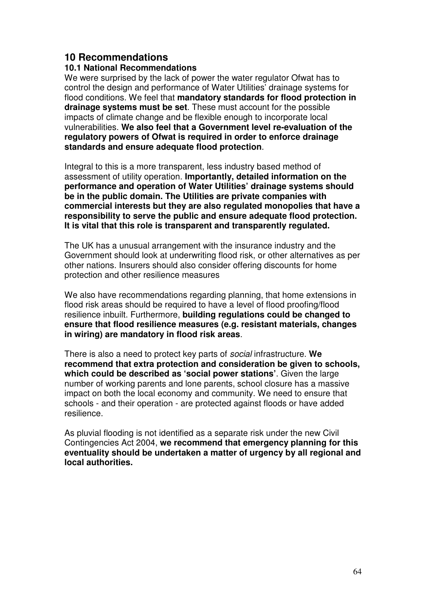# **10 Recommendations**

# **10.1 National Recommendations**

We were surprised by the lack of power the water regulator Ofwat has to control the design and performance of Water Utilities' drainage systems for flood conditions. We feel that **mandatory standards for flood protection in drainage systems must be set**. These must account for the possible impacts of climate change and be flexible enough to incorporate local vulnerabilities. **We also feel that a Government level re-evaluation of the regulatory powers of Ofwat is required in order to enforce drainage standards and ensure adequate flood protection**.

Integral to this is a more transparent, less industry based method of assessment of utility operation. **Importantly, detailed information on the performance and operation of Water Utilities' drainage systems should be in the public domain. The Utilities are private companies with commercial interests but they are also regulated monopolies that have a responsibility to serve the public and ensure adequate flood protection. It is vital that this role is transparent and transparently regulated.**

The UK has a unusual arrangement with the insurance industry and the Government should look at underwriting flood risk, or other alternatives as per other nations. Insurers should also consider offering discounts for home protection and other resilience measures

We also have recommendations regarding planning, that home extensions in flood risk areas should be required to have a level of flood proofing/flood resilience inbuilt. Furthermore, **building regulations could be changed to ensure that flood resilience measures (e.g. resistant materials, changes in wiring) are mandatory in flood risk areas**.

There is also a need to protect key parts of social infrastructure. **We recommend that extra protection and consideration be given to schools, which could be described as 'social power stations'**. Given the large number of working parents and lone parents, school closure has a massive impact on both the local economy and community. We need to ensure that schools - and their operation - are protected against floods or have added resilience.

As pluvial flooding is not identified as a separate risk under the new Civil Contingencies Act 2004, **we recommend that emergency planning for this eventuality should be undertaken a matter of urgency by all regional and local authorities.**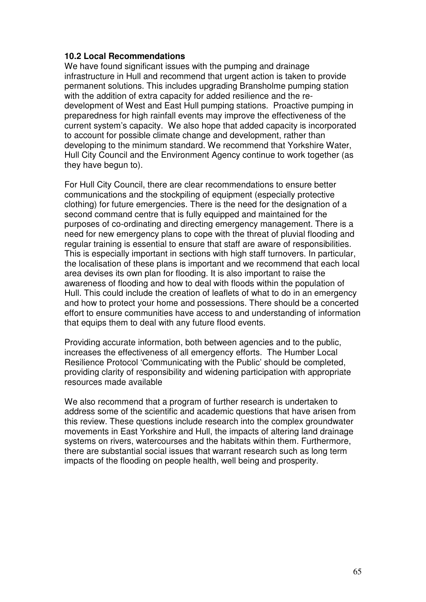### **10.2 Local Recommendations**

We have found significant issues with the pumping and drainage infrastructure in Hull and recommend that urgent action is taken to provide permanent solutions. This includes upgrading Bransholme pumping station with the addition of extra capacity for added resilience and the redevelopment of West and East Hull pumping stations. Proactive pumping in preparedness for high rainfall events may improve the effectiveness of the current system's capacity. We also hope that added capacity is incorporated to account for possible climate change and development, rather than developing to the minimum standard. We recommend that Yorkshire Water, Hull City Council and the Environment Agency continue to work together (as they have begun to).

For Hull City Council, there are clear recommendations to ensure better communications and the stockpiling of equipment (especially protective clothing) for future emergencies. There is the need for the designation of a second command centre that is fully equipped and maintained for the purposes of co-ordinating and directing emergency management. There is a need for new emergency plans to cope with the threat of pluvial flooding and regular training is essential to ensure that staff are aware of responsibilities. This is especially important in sections with high staff turnovers. In particular, the localisation of these plans is important and we recommend that each local area devises its own plan for flooding. It is also important to raise the awareness of flooding and how to deal with floods within the population of Hull. This could include the creation of leaflets of what to do in an emergency and how to protect your home and possessions. There should be a concerted effort to ensure communities have access to and understanding of information that equips them to deal with any future flood events.

Providing accurate information, both between agencies and to the public, increases the effectiveness of all emergency efforts. The Humber Local Resilience Protocol 'Communicating with the Public' should be completed, providing clarity of responsibility and widening participation with appropriate resources made available

We also recommend that a program of further research is undertaken to address some of the scientific and academic questions that have arisen from this review. These questions include research into the complex groundwater movements in East Yorkshire and Hull, the impacts of altering land drainage systems on rivers, watercourses and the habitats within them. Furthermore, there are substantial social issues that warrant research such as long term impacts of the flooding on people health, well being and prosperity.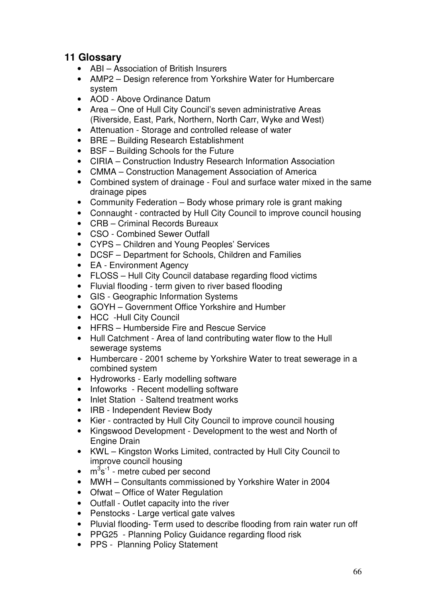# **11 Glossary**

- ABI Association of British Insurers
- AMP2 Design reference from Yorkshire Water for Humbercare system
- AOD Above Ordinance Datum
- Area One of Hull City Council's seven administrative Areas (Riverside, East, Park, Northern, North Carr, Wyke and West)
- Attenuation Storage and controlled release of water
- BRE Building Research Establishment
- BSF Building Schools for the Future
- CIRIA Construction Industry Research Information Association
- CMMA Construction Management Association of America
- Combined system of drainage Foul and surface water mixed in the same drainage pipes
- Community Federation Body whose primary role is grant making
- Connaught contracted by Hull City Council to improve council housing
- CRB Criminal Records Bureaux
- CSO Combined Sewer Outfall
- CYPS Children and Young Peoples' Services
- DCSF Department for Schools, Children and Families
- EA Environment Agency
- FLOSS Hull City Council database regarding flood victims
- Fluvial flooding term given to river based flooding
- GIS Geographic Information Systems
- GOYH Government Office Yorkshire and Humber
- HCC -Hull City Council
- HFRS Humberside Fire and Rescue Service
- Hull Catchment Area of land contributing water flow to the Hull sewerage systems
- Humbercare 2001 scheme by Yorkshire Water to treat sewerage in a combined system
- Hydroworks Early modelling software
- Infoworks Recent modelling software
- Inlet Station Saltend treatment works
- IRB Independent Review Body
- Kier contracted by Hull City Council to improve council housing
- Kingswood Development Development to the west and North of Engine Drain
- KWL Kingston Works Limited, contracted by Hull City Council to improve council housing
- $\bullet$  m<sup>3</sup>s<sup>-1</sup> metre cubed per second
- MWH Consultants commissioned by Yorkshire Water in 2004
- Ofwat Office of Water Regulation
- Outfall Outlet capacity into the river
- Penstocks Large vertical gate valves
- Pluvial flooding- Term used to describe flooding from rain water run off
- PPG25 Planning Policy Guidance regarding flood risk
- PPS Planning Policy Statement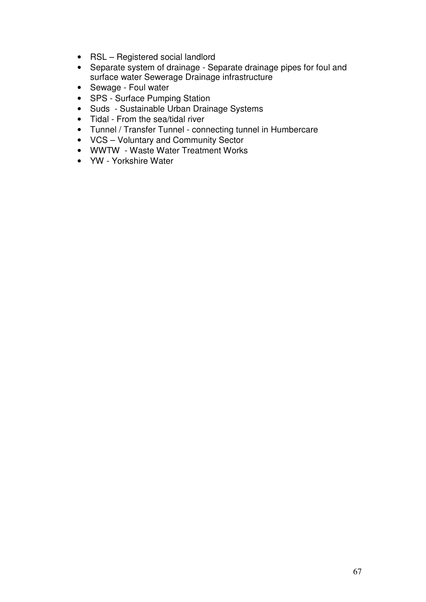- RSL Registered social landlord
- Separate system of drainage Separate drainage pipes for foul and surface water Sewerage Drainage infrastructure
- Sewage Foul water
- SPS Surface Pumping Station
- Suds Sustainable Urban Drainage Systems
- Tidal From the sea/tidal river
- Tunnel / Transfer Tunnel connecting tunnel in Humbercare
- VCS Voluntary and Community Sector
- WWTW Waste Water Treatment Works
- YW Yorkshire Water